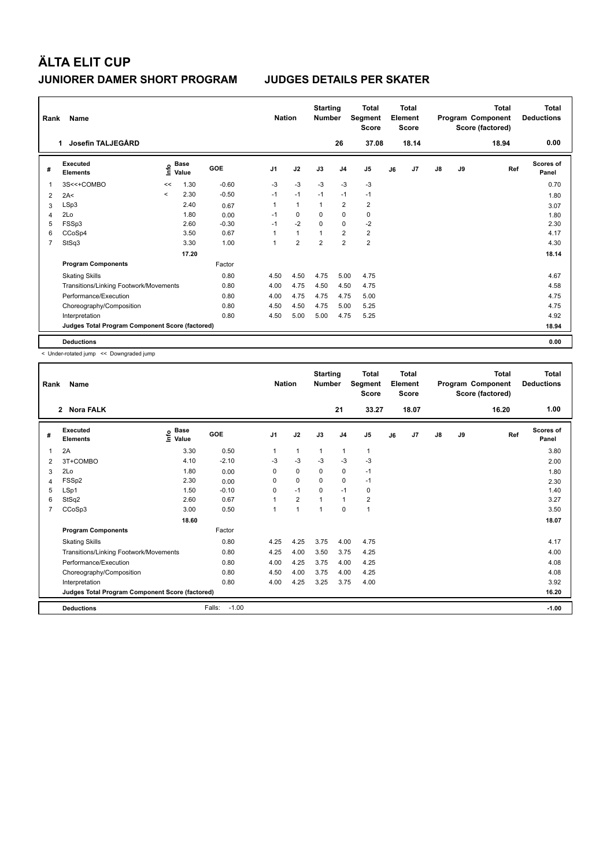| Rank           | Name                                            | <b>Nation</b>            |                                  | <b>Starting</b><br><b>Number</b> |                | <b>Total</b><br>Segment<br><b>Score</b> |                | <b>Total</b><br>Element<br><b>Score</b> |                         |    | Total<br>Program Component<br>Score (factored) | <b>Total</b><br><b>Deductions</b> |    |       |                    |
|----------------|-------------------------------------------------|--------------------------|----------------------------------|----------------------------------|----------------|-----------------------------------------|----------------|-----------------------------------------|-------------------------|----|------------------------------------------------|-----------------------------------|----|-------|--------------------|
|                | Josefin TALJEGÅRD<br>1.                         |                          |                                  |                                  |                |                                         |                | 26                                      | 37.08                   |    | 18.14                                          |                                   |    | 18.94 | 0.00               |
| #              | Executed<br><b>Elements</b>                     |                          | <b>Base</b><br>e Base<br>⊆ Value | <b>GOE</b>                       | J <sub>1</sub> | J2                                      | J3             | J <sub>4</sub>                          | J <sub>5</sub>          | J6 | J <sub>7</sub>                                 | J8                                | J9 | Ref   | Scores of<br>Panel |
| $\mathbf{1}$   | 3S<<+COMBO                                      | <<                       | 1.30                             | $-0.60$                          | $-3$           | $-3$                                    | $-3$           | $-3$                                    | $-3$                    |    |                                                |                                   |    |       | 0.70               |
| 2              | 2A<                                             | $\overline{\phantom{a}}$ | 2.30                             | $-0.50$                          | $-1$           | $-1$                                    | $-1$           | $-1$                                    | $-1$                    |    |                                                |                                   |    |       | 1.80               |
| 3              | LSp3                                            |                          | 2.40                             | 0.67                             |                | $\blacktriangleleft$                    | $\mathbf{1}$   | $\overline{2}$                          | $\overline{\mathbf{c}}$ |    |                                                |                                   |    |       | 3.07               |
| $\overline{4}$ | 2Lo                                             |                          | 1.80                             | 0.00                             | $-1$           | 0                                       | 0              | $\mathbf 0$                             | 0                       |    |                                                |                                   |    |       | 1.80               |
| 5              | FSSp3                                           |                          | 2.60                             | $-0.30$                          | $-1$           | $-2$                                    | $\Omega$       | $\mathbf 0$                             | $-2$                    |    |                                                |                                   |    |       | 2.30               |
| 6              | CCoSp4                                          |                          | 3.50                             | 0.67                             |                | $\mathbf{1}$                            | 1              | $\overline{2}$                          | $\overline{2}$          |    |                                                |                                   |    |       | 4.17               |
| 7              | StSq3                                           |                          | 3.30                             | 1.00                             |                | $\overline{2}$                          | $\overline{2}$ | $\overline{2}$                          | $\overline{2}$          |    |                                                |                                   |    |       | 4.30               |
|                |                                                 |                          | 17.20                            |                                  |                |                                         |                |                                         |                         |    |                                                |                                   |    |       | 18.14              |
|                | <b>Program Components</b>                       |                          |                                  | Factor                           |                |                                         |                |                                         |                         |    |                                                |                                   |    |       |                    |
|                | <b>Skating Skills</b>                           |                          |                                  | 0.80                             | 4.50           | 4.50                                    | 4.75           | 5.00                                    | 4.75                    |    |                                                |                                   |    |       | 4.67               |
|                | Transitions/Linking Footwork/Movements          |                          |                                  | 0.80                             | 4.00           | 4.75                                    | 4.50           | 4.50                                    | 4.75                    |    |                                                |                                   |    |       | 4.58               |
|                | Performance/Execution                           |                          |                                  | 0.80                             | 4.00           | 4.75                                    | 4.75           | 4.75                                    | 5.00                    |    |                                                |                                   |    |       | 4.75               |
|                | Choreography/Composition                        |                          |                                  | 0.80                             | 4.50           | 4.50                                    | 4.75           | 5.00                                    | 5.25                    |    |                                                |                                   |    |       | 4.75               |
|                | Interpretation                                  |                          |                                  | 0.80                             | 4.50           | 5.00                                    | 5.00           | 4.75                                    | 5.25                    |    |                                                |                                   |    |       | 4.92               |
|                | Judges Total Program Component Score (factored) |                          |                                  |                                  |                |                                         |                |                                         |                         |    |                                                |                                   |    |       | 18.94              |
|                | <b>Deductions</b>                               |                          |                                  |                                  |                |                                         |                |                                         |                         |    |                                                |                                   |    |       | 0.00               |

< Under-rotated jump << Downgraded jump

| Rank | Name                                            |                       |                   | <b>Nation</b>  |                | <b>Starting</b><br><b>Number</b> |                | <b>Total</b><br>Segment<br><b>Score</b> |    | <b>Total</b><br>Element<br><b>Score</b> |               |    | <b>Total</b><br>Program Component<br>Score (factored) | <b>Total</b><br><b>Deductions</b> |
|------|-------------------------------------------------|-----------------------|-------------------|----------------|----------------|----------------------------------|----------------|-----------------------------------------|----|-----------------------------------------|---------------|----|-------------------------------------------------------|-----------------------------------|
|      | 2 Nora FALK                                     |                       |                   |                |                |                                  | 21             | 33.27                                   |    | 18.07                                   |               |    | 16.20                                                 | 1.00                              |
| #    | Executed<br><b>Elements</b>                     | $\sum_{i=1}^{n}$ Base | GOE               | J <sub>1</sub> | J2             | J3                               | J <sub>4</sub> | J5                                      | J6 | J <sub>7</sub>                          | $\mathsf{J}8$ | J9 | Ref                                                   | Scores of<br>Panel                |
| 1    | 2A                                              | 3.30                  | 0.50              | 1              | $\mathbf{1}$   | $\mathbf{1}$                     | $\mathbf{1}$   | $\mathbf{1}$                            |    |                                         |               |    |                                                       | 3.80                              |
| 2    | 3T+COMBO                                        | 4.10                  | $-2.10$           | $-3$           | $-3$           | $-3$                             | $-3$           | $-3$                                    |    |                                         |               |    |                                                       | 2.00                              |
| 3    | 2Lo                                             | 1.80                  | 0.00              | 0              | 0              | 0                                | $\mathbf 0$    | $-1$                                    |    |                                         |               |    |                                                       | 1.80                              |
| 4    | FSSp2                                           | 2.30                  | 0.00              | $\Omega$       | $\Omega$       | $\Omega$                         | $\mathbf 0$    | $-1$                                    |    |                                         |               |    |                                                       | 2.30                              |
| 5    | LSp1                                            | 1.50                  | $-0.10$           | $\Omega$       | $-1$           | $\Omega$                         | $-1$           | 0                                       |    |                                         |               |    |                                                       | 1.40                              |
| 6    | StSq2                                           | 2.60                  | 0.67              | 1              | $\overline{2}$ | $\overline{1}$                   | $\mathbf{1}$   | $\overline{2}$                          |    |                                         |               |    |                                                       | 3.27                              |
| 7    | CCoSp3                                          | 3.00                  | 0.50              | 1              | $\mathbf{1}$   | 1                                | $\Omega$       | $\mathbf{1}$                            |    |                                         |               |    |                                                       | 3.50                              |
|      |                                                 | 18.60                 |                   |                |                |                                  |                |                                         |    |                                         |               |    |                                                       | 18.07                             |
|      | <b>Program Components</b>                       |                       | Factor            |                |                |                                  |                |                                         |    |                                         |               |    |                                                       |                                   |
|      | <b>Skating Skills</b>                           |                       | 0.80              | 4.25           | 4.25           | 3.75                             | 4.00           | 4.75                                    |    |                                         |               |    |                                                       | 4.17                              |
|      | Transitions/Linking Footwork/Movements          |                       | 0.80              | 4.25           | 4.00           | 3.50                             | 3.75           | 4.25                                    |    |                                         |               |    |                                                       | 4.00                              |
|      | Performance/Execution                           |                       | 0.80              | 4.00           | 4.25           | 3.75                             | 4.00           | 4.25                                    |    |                                         |               |    |                                                       | 4.08                              |
|      | Choreography/Composition                        |                       | 0.80              | 4.50           | 4.00           | 3.75                             | 4.00           | 4.25                                    |    |                                         |               |    |                                                       | 4.08                              |
|      | Interpretation                                  |                       | 0.80              | 4.00           | 4.25           | 3.25                             | 3.75           | 4.00                                    |    |                                         |               |    |                                                       | 3.92                              |
|      | Judges Total Program Component Score (factored) |                       |                   |                |                |                                  |                |                                         |    |                                         |               |    |                                                       | 16.20                             |
|      | <b>Deductions</b>                               |                       | $-1.00$<br>Falls: |                |                |                                  |                |                                         |    |                                         |               |    |                                                       | $-1.00$                           |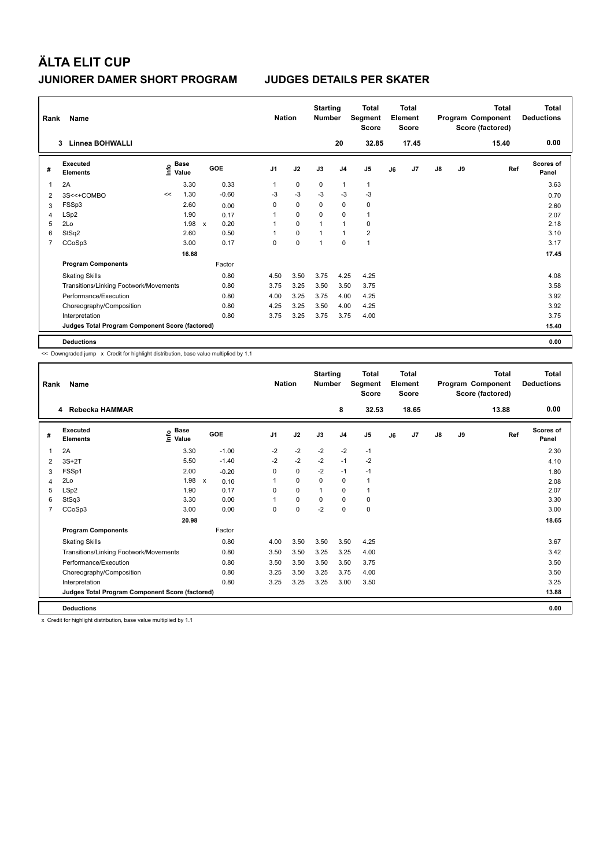| Rank           | Name                                            |    |                                    |                           |         |                | <b>Nation</b> |             | <b>Starting</b><br><b>Number</b> |                | <b>Total</b><br>Segment<br><b>Score</b> |    | Total<br>Element<br><b>Score</b> |               |    | Total<br>Program Component<br>Score (factored) | Total<br><b>Deductions</b> |
|----------------|-------------------------------------------------|----|------------------------------------|---------------------------|---------|----------------|---------------|-------------|----------------------------------|----------------|-----------------------------------------|----|----------------------------------|---------------|----|------------------------------------------------|----------------------------|
|                | Linnea BOHWALLI<br>3                            |    |                                    |                           |         |                |               |             |                                  | 20             | 32.85                                   |    | 17.45                            |               |    | 15.40                                          | 0.00                       |
| #              | Executed<br><b>Elements</b>                     |    | <b>Base</b><br>$\frac{6}{5}$ Value | <b>GOE</b>                |         | J <sub>1</sub> |               | J2          | J3                               | J <sub>4</sub> | J <sub>5</sub>                          | J6 | J7                               | $\mathsf{J}8$ | J9 | Ref                                            | Scores of<br>Panel         |
| 1              | 2A                                              |    | 3.30                               |                           | 0.33    | 1              |               | 0           | 0                                | $\mathbf{1}$   | $\mathbf{1}$                            |    |                                  |               |    |                                                | 3.63                       |
| 2              | 3S<<+COMBO                                      | << | 1.30                               |                           | $-0.60$ | -3             |               | $-3$        | $-3$                             | $-3$           | $-3$                                    |    |                                  |               |    |                                                | 0.70                       |
| 3              | FSSp3                                           |    | 2.60                               |                           | 0.00    | 0              |               | $\mathbf 0$ | 0                                | 0              | 0                                       |    |                                  |               |    |                                                | 2.60                       |
| 4              | LSp2                                            |    | 1.90                               |                           | 0.17    |                |               | $\mathbf 0$ | $\Omega$                         | $\mathbf 0$    | $\mathbf{1}$                            |    |                                  |               |    |                                                | 2.07                       |
| 5              | 2Lo                                             |    | 1.98                               | $\boldsymbol{\mathsf{x}}$ | 0.20    | 1              |               | $\mathbf 0$ |                                  | $\overline{1}$ | $\Omega$                                |    |                                  |               |    |                                                | 2.18                       |
| 6              | StSq2                                           |    | 2.60                               |                           | 0.50    | 1              |               | $\mathbf 0$ |                                  | $\mathbf{1}$   | $\overline{\mathbf{c}}$                 |    |                                  |               |    |                                                | 3.10                       |
| $\overline{7}$ | CCoSp3                                          |    | 3.00                               |                           | 0.17    | 0              |               | $\mathbf 0$ | 1                                | $\mathbf 0$    | $\mathbf{1}$                            |    |                                  |               |    |                                                | 3.17                       |
|                |                                                 |    | 16.68                              |                           |         |                |               |             |                                  |                |                                         |    |                                  |               |    |                                                | 17.45                      |
|                | <b>Program Components</b>                       |    |                                    |                           | Factor  |                |               |             |                                  |                |                                         |    |                                  |               |    |                                                |                            |
|                | <b>Skating Skills</b>                           |    |                                    |                           | 0.80    | 4.50           |               | 3.50        | 3.75                             | 4.25           | 4.25                                    |    |                                  |               |    |                                                | 4.08                       |
|                | Transitions/Linking Footwork/Movements          |    |                                    |                           | 0.80    | 3.75           |               | 3.25        | 3.50                             | 3.50           | 3.75                                    |    |                                  |               |    |                                                | 3.58                       |
|                | Performance/Execution                           |    |                                    |                           | 0.80    | 4.00           |               | 3.25        | 3.75                             | 4.00           | 4.25                                    |    |                                  |               |    |                                                | 3.92                       |
|                | Choreography/Composition                        |    |                                    |                           | 0.80    | 4.25           |               | 3.25        | 3.50                             | 4.00           | 4.25                                    |    |                                  |               |    |                                                | 3.92                       |
|                | Interpretation                                  |    |                                    |                           | 0.80    | 3.75           |               | 3.25        | 3.75                             | 3.75           | 4.00                                    |    |                                  |               |    |                                                | 3.75                       |
|                | Judges Total Program Component Score (factored) |    |                                    |                           |         |                |               |             |                                  |                |                                         |    |                                  |               |    |                                                | 15.40                      |
|                | <b>Deductions</b>                               |    |                                    |                           |         |                |               |             |                                  |                |                                         |    |                                  |               |    |                                                | 0.00                       |

<< Downgraded jump x Credit for highlight distribution, base value multiplied by 1.1

| Rank | Name                                            |                              |         | <b>Nation</b>  |          | <b>Starting</b><br><b>Number</b> |                | <b>Total</b><br>Segment<br><b>Score</b> |    | <b>Total</b><br>Element<br><b>Score</b> |    |    | <b>Total</b><br>Program Component<br>Score (factored) | <b>Total</b><br><b>Deductions</b> |
|------|-------------------------------------------------|------------------------------|---------|----------------|----------|----------------------------------|----------------|-----------------------------------------|----|-----------------------------------------|----|----|-------------------------------------------------------|-----------------------------------|
|      | 4 Rebecka HAMMAR                                |                              |         |                |          |                                  | 8              | 32.53                                   |    | 18.65                                   |    |    | 13.88                                                 | 0.00                              |
| #    | <b>Executed</b><br><b>Elements</b>              | <b>Base</b><br>١nfo<br>Value | GOE     | J <sub>1</sub> | J2       | J3                               | J <sub>4</sub> | J <sub>5</sub>                          | J6 | J <sub>7</sub>                          | J8 | J9 | Ref                                                   | <b>Scores of</b><br>Panel         |
| 1    | 2A                                              | 3.30                         | $-1.00$ | $-2$           | $-2$     | $-2$                             | $-2$           | $-1$                                    |    |                                         |    |    |                                                       | 2.30                              |
| 2    | $3S+2T$                                         | 5.50                         | $-1.40$ | $-2$           | $-2$     | $-2$                             | $-1$           | $-2$                                    |    |                                         |    |    |                                                       | 4.10                              |
| 3    | FSSp1                                           | 2.00                         | $-0.20$ | 0              | 0        | $-2$                             | $-1$           | $-1$                                    |    |                                         |    |    |                                                       | 1.80                              |
| 4    | 2Lo                                             | $1.98 \times$                | 0.10    |                | $\Omega$ | $\Omega$                         | 0              | 1                                       |    |                                         |    |    |                                                       | 2.08                              |
| 5    | LSp2                                            | 1.90                         | 0.17    | $\Omega$       | 0        | 1                                | $\mathbf 0$    | 1                                       |    |                                         |    |    |                                                       | 2.07                              |
| 6    | StSq3                                           | 3.30                         | 0.00    | $\overline{1}$ | $\Omega$ | $\Omega$                         | $\Omega$       | 0                                       |    |                                         |    |    |                                                       | 3.30                              |
| 7    | CCoSp3                                          | 3.00                         | 0.00    | 0              | 0        | $-2$                             | $\Omega$       | 0                                       |    |                                         |    |    |                                                       | 3.00                              |
|      |                                                 | 20.98                        |         |                |          |                                  |                |                                         |    |                                         |    |    |                                                       | 18.65                             |
|      | <b>Program Components</b>                       |                              | Factor  |                |          |                                  |                |                                         |    |                                         |    |    |                                                       |                                   |
|      | <b>Skating Skills</b>                           |                              | 0.80    | 4.00           | 3.50     | 3.50                             | 3.50           | 4.25                                    |    |                                         |    |    |                                                       | 3.67                              |
|      | Transitions/Linking Footwork/Movements          |                              | 0.80    | 3.50           | 3.50     | 3.25                             | 3.25           | 4.00                                    |    |                                         |    |    |                                                       | 3.42                              |
|      | Performance/Execution                           |                              | 0.80    | 3.50           | 3.50     | 3.50                             | 3.50           | 3.75                                    |    |                                         |    |    |                                                       | 3.50                              |
|      | Choreography/Composition                        |                              | 0.80    | 3.25           | 3.50     | 3.25                             | 3.75           | 4.00                                    |    |                                         |    |    |                                                       | 3.50                              |
|      | Interpretation                                  |                              | 0.80    | 3.25           | 3.25     | 3.25                             | 3.00           | 3.50                                    |    |                                         |    |    |                                                       | 3.25                              |
|      | Judges Total Program Component Score (factored) |                              |         |                |          |                                  |                |                                         |    |                                         |    |    |                                                       | 13.88                             |
|      | <b>Deductions</b>                               |                              |         |                |          |                                  |                |                                         |    |                                         |    |    |                                                       | 0.00                              |

x Credit for highlight distribution, base value multiplied by 1.1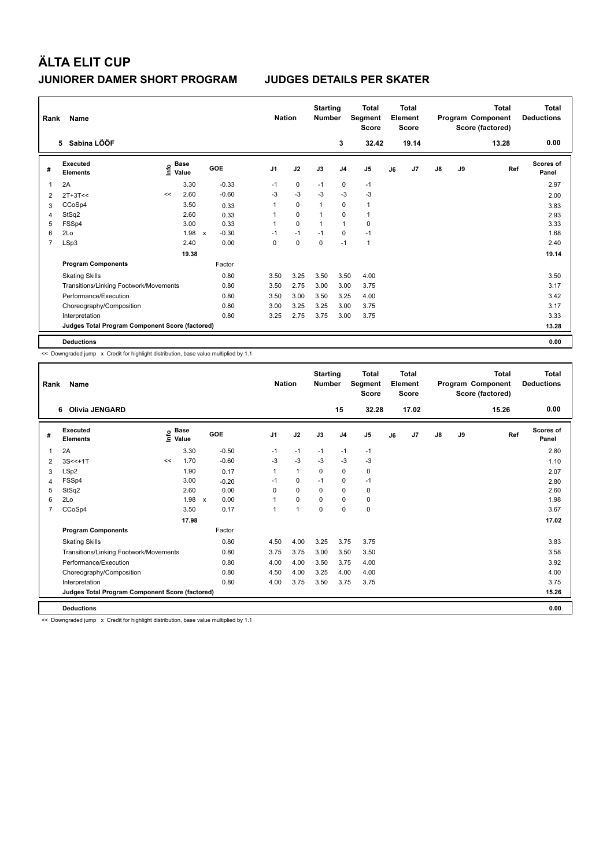| Rank           | Name                                            |                                  |       |                                      |                | <b>Nation</b> |             | <b>Starting</b><br><b>Number</b> |                | <b>Total</b><br>Segment<br><b>Score</b> |    | <b>Total</b><br>Element<br><b>Score</b> |               |    | Total<br>Program Component<br>Score (factored) | Total<br><b>Deductions</b> |
|----------------|-------------------------------------------------|----------------------------------|-------|--------------------------------------|----------------|---------------|-------------|----------------------------------|----------------|-----------------------------------------|----|-----------------------------------------|---------------|----|------------------------------------------------|----------------------------|
|                | 5 Sabina LÖÖF                                   |                                  |       |                                      |                |               |             |                                  | 3              | 32.42                                   |    | 19.14                                   |               |    | 13.28                                          | 0.00                       |
| #              | Executed<br><b>Elements</b>                     | <b>Base</b><br>e Base<br>⊆ Value |       | GOE                                  | J <sub>1</sub> |               | J2          | J3                               | J <sub>4</sub> | J <sub>5</sub>                          | J6 | J7                                      | $\mathsf{J}8$ | J9 | Ref                                            | Scores of<br>Panel         |
| 1              | 2A                                              |                                  | 3.30  | $-0.33$                              | $-1$           |               | 0           | $-1$                             | 0              | $-1$                                    |    |                                         |               |    |                                                | 2.97                       |
| 2              | $2T+3T<<$                                       | <<                               | 2.60  | $-0.60$                              | -3             |               | $-3$        | $-3$                             | $-3$           | $-3$                                    |    |                                         |               |    |                                                | 2.00                       |
| 3              | CCoSp4                                          |                                  | 3.50  | 0.33                                 | 1              |               | $\mathbf 0$ | $\overline{1}$                   | 0              | $\mathbf{1}$                            |    |                                         |               |    |                                                | 3.83                       |
| 4              | StSq2                                           |                                  | 2.60  | 0.33                                 |                |               | $\mathbf 0$ | $\overline{1}$                   | $\mathbf 0$    | $\mathbf{1}$                            |    |                                         |               |    |                                                | 2.93                       |
| 5              | FSSp4                                           |                                  | 3.00  | 0.33                                 | 1              |               | $\mathbf 0$ | -1                               | $\overline{1}$ | $\mathbf 0$                             |    |                                         |               |    |                                                | 3.33                       |
| 6              | 2Lo                                             |                                  | 1.98  | $-0.30$<br>$\boldsymbol{\mathsf{x}}$ | $-1$           |               | $-1$        | $-1$                             | 0              | $-1$                                    |    |                                         |               |    |                                                | 1.68                       |
| $\overline{7}$ | LSp3                                            |                                  | 2.40  | 0.00                                 | 0              |               | $\mathbf 0$ | $\mathbf 0$                      | $-1$           | $\mathbf{1}$                            |    |                                         |               |    |                                                | 2.40                       |
|                |                                                 |                                  | 19.38 |                                      |                |               |             |                                  |                |                                         |    |                                         |               |    |                                                | 19.14                      |
|                | <b>Program Components</b>                       |                                  |       | Factor                               |                |               |             |                                  |                |                                         |    |                                         |               |    |                                                |                            |
|                | <b>Skating Skills</b>                           |                                  |       | 0.80                                 | 3.50           |               | 3.25        | 3.50                             | 3.50           | 4.00                                    |    |                                         |               |    |                                                | 3.50                       |
|                | Transitions/Linking Footwork/Movements          |                                  |       | 0.80                                 | 3.50           |               | 2.75        | 3.00                             | 3.00           | 3.75                                    |    |                                         |               |    |                                                | 3.17                       |
|                | Performance/Execution                           |                                  |       | 0.80                                 | 3.50           |               | 3.00        | 3.50                             | 3.25           | 4.00                                    |    |                                         |               |    |                                                | 3.42                       |
|                | Choreography/Composition                        |                                  |       | 0.80                                 | 3.00           |               | 3.25        | 3.25                             | 3.00           | 3.75                                    |    |                                         |               |    |                                                | 3.17                       |
|                | Interpretation                                  |                                  |       | 0.80                                 | 3.25           |               | 2.75        | 3.75                             | 3.00           | 3.75                                    |    |                                         |               |    |                                                | 3.33                       |
|                | Judges Total Program Component Score (factored) |                                  |       |                                      |                |               |             |                                  |                |                                         |    |                                         |               |    |                                                | 13.28                      |
|                | <b>Deductions</b>                               |                                  |       |                                      |                |               |             |                                  |                |                                         |    |                                         |               |    |                                                | 0.00                       |

<< Downgraded jump x Credit for highlight distribution, base value multiplied by 1.1

| Rank | <b>Name</b>                                     | <b>Nation</b> |                                           | <b>Starting</b><br><b>Number</b> |         | Total<br>Segment<br><b>Score</b> |              | Total<br>Element<br><b>Score</b> |                |                | Total<br>Program Component<br>Score (factored) | <b>Total</b><br><b>Deductions</b> |    |    |       |                           |
|------|-------------------------------------------------|---------------|-------------------------------------------|----------------------------------|---------|----------------------------------|--------------|----------------------------------|----------------|----------------|------------------------------------------------|-----------------------------------|----|----|-------|---------------------------|
|      | Olivia JENGARD<br>6                             |               |                                           |                                  |         |                                  |              |                                  | 15             | 32.28          |                                                | 17.02                             |    |    | 15.26 | 0.00                      |
| #    | Executed<br><b>Elements</b>                     |               | $\frac{e}{E}$ Base<br>$\frac{E}{E}$ Value | GOE                              |         | J <sub>1</sub>                   | J2           | J3                               | J <sub>4</sub> | J <sub>5</sub> | J6                                             | J <sub>7</sub>                    | J8 | J9 | Ref   | <b>Scores of</b><br>Panel |
| 1    | 2A                                              |               | 3.30                                      |                                  | $-0.50$ | $-1$                             | $-1$         | $-1$                             | $-1$           | $-1$           |                                                |                                   |    |    |       | 2.80                      |
| 2    | $3S < +1T$                                      | <<            | 1.70                                      |                                  | $-0.60$ | $-3$                             | $-3$         | $-3$                             | $-3$           | $-3$           |                                                |                                   |    |    |       | 1.10                      |
| 3    | LSp2                                            |               | 1.90                                      |                                  | 0.17    | 1                                | $\mathbf{1}$ | 0                                | 0              | 0              |                                                |                                   |    |    |       | 2.07                      |
| 4    | FSSp4                                           |               | 3.00                                      |                                  | $-0.20$ | $-1$                             | $\Omega$     | $-1$                             | 0              | $-1$           |                                                |                                   |    |    |       | 2.80                      |
| 5    | StSq2                                           |               | 2.60                                      |                                  | 0.00    | $\Omega$                         | 0            | $\Omega$                         | $\mathbf 0$    | 0              |                                                |                                   |    |    |       | 2.60                      |
| 6    | 2Lo                                             |               | $1.98 \times$                             |                                  | 0.00    | 1                                | $\Omega$     | $\Omega$                         | $\Omega$       | 0              |                                                |                                   |    |    |       | 1.98                      |
| 7    | CCoSp4                                          |               | 3.50                                      |                                  | 0.17    | 1                                | 1            | $\Omega$                         | 0              | 0              |                                                |                                   |    |    |       | 3.67                      |
|      |                                                 |               | 17.98                                     |                                  |         |                                  |              |                                  |                |                |                                                |                                   |    |    |       | 17.02                     |
|      | <b>Program Components</b>                       |               |                                           |                                  | Factor  |                                  |              |                                  |                |                |                                                |                                   |    |    |       |                           |
|      | <b>Skating Skills</b>                           |               |                                           |                                  | 0.80    | 4.50                             | 4.00         | 3.25                             | 3.75           | 3.75           |                                                |                                   |    |    |       | 3.83                      |
|      | Transitions/Linking Footwork/Movements          |               |                                           |                                  | 0.80    | 3.75                             | 3.75         | 3.00                             | 3.50           | 3.50           |                                                |                                   |    |    |       | 3.58                      |
|      | Performance/Execution                           |               |                                           |                                  | 0.80    | 4.00                             | 4.00         | 3.50                             | 3.75           | 4.00           |                                                |                                   |    |    |       | 3.92                      |
|      | Choreography/Composition                        |               |                                           |                                  | 0.80    | 4.50                             | 4.00         | 3.25                             | 4.00           | 4.00           |                                                |                                   |    |    |       | 4.00                      |
|      | Interpretation                                  |               |                                           |                                  | 0.80    | 4.00                             | 3.75         | 3.50                             | 3.75           | 3.75           |                                                |                                   |    |    |       | 3.75                      |
|      | Judges Total Program Component Score (factored) |               |                                           |                                  |         |                                  |              |                                  |                |                |                                                |                                   |    |    |       | 15.26                     |
|      | <b>Deductions</b>                               |               |                                           |                                  |         |                                  |              |                                  |                |                |                                                |                                   |    |    |       | 0.00                      |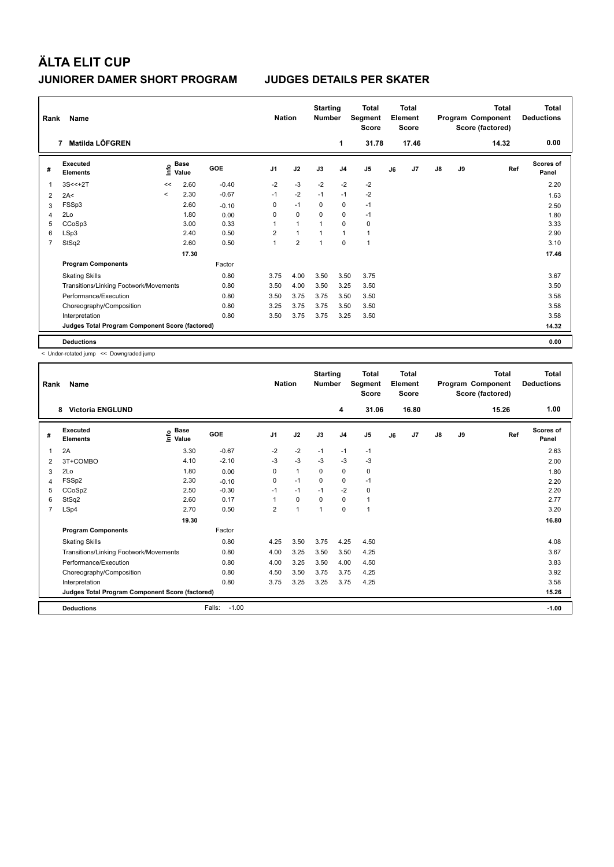| Rank           | Name                                            |         |                      |         | <b>Nation</b>  |                | <b>Starting</b><br><b>Number</b> |                | <b>Total</b><br>Segment<br><b>Score</b> |    | Total<br>Element<br><b>Score</b> |               |    | Total<br>Program Component<br>Score (factored) | Total<br><b>Deductions</b> |
|----------------|-------------------------------------------------|---------|----------------------|---------|----------------|----------------|----------------------------------|----------------|-----------------------------------------|----|----------------------------------|---------------|----|------------------------------------------------|----------------------------|
|                | Matilda LÖFGREN<br>7                            |         |                      |         |                |                |                                  | 1              | 31.78                                   |    | 17.46                            |               |    | 14.32                                          | 0.00                       |
| #              | Executed<br><b>Elements</b>                     | lnfo    | <b>Base</b><br>Value | GOE     | J <sub>1</sub> | J2             | J3                               | J <sub>4</sub> | J <sub>5</sub>                          | J6 | J7                               | $\mathsf{J}8$ | J9 | Ref                                            | <b>Scores of</b><br>Panel  |
| $\mathbf 1$    | $3S < +2T$                                      | <<      | 2.60                 | $-0.40$ | $-2$           | $-3$           | $-2$                             | $-2$           | $-2$                                    |    |                                  |               |    |                                                | 2.20                       |
| 2              | 2A<                                             | $\prec$ | 2.30                 | $-0.67$ | $-1$           | $-2$           | $-1$                             | $-1$           | $-2$                                    |    |                                  |               |    |                                                | 1.63                       |
| 3              | FSSp3                                           |         | 2.60                 | $-0.10$ | 0              | $-1$           | $\Omega$                         | 0              | $-1$                                    |    |                                  |               |    |                                                | 2.50                       |
| 4              | 2Lo                                             |         | 1.80                 | 0.00    | 0              | 0              | $\Omega$                         | $\mathbf 0$    | $-1$                                    |    |                                  |               |    |                                                | 1.80                       |
| 5              | CCoSp3                                          |         | 3.00                 | 0.33    | 1              | $\mathbf{1}$   |                                  | $\Omega$       | $\mathbf 0$                             |    |                                  |               |    |                                                | 3.33                       |
| 6              | LSp3                                            |         | 2.40                 | 0.50    | $\overline{2}$ | $\mathbf{1}$   |                                  | $\overline{1}$ | $\mathbf{1}$                            |    |                                  |               |    |                                                | 2.90                       |
| $\overline{7}$ | StSq2                                           |         | 2.60                 | 0.50    | $\overline{1}$ | $\overline{2}$ | 1                                | $\mathbf 0$    | $\mathbf{1}$                            |    |                                  |               |    |                                                | 3.10                       |
|                |                                                 |         | 17.30                |         |                |                |                                  |                |                                         |    |                                  |               |    |                                                | 17.46                      |
|                | <b>Program Components</b>                       |         |                      | Factor  |                |                |                                  |                |                                         |    |                                  |               |    |                                                |                            |
|                | <b>Skating Skills</b>                           |         |                      | 0.80    | 3.75           | 4.00           | 3.50                             | 3.50           | 3.75                                    |    |                                  |               |    |                                                | 3.67                       |
|                | Transitions/Linking Footwork/Movements          |         |                      | 0.80    | 3.50           | 4.00           | 3.50                             | 3.25           | 3.50                                    |    |                                  |               |    |                                                | 3.50                       |
|                | Performance/Execution                           |         |                      | 0.80    | 3.50           | 3.75           | 3.75                             | 3.50           | 3.50                                    |    |                                  |               |    |                                                | 3.58                       |
|                | Choreography/Composition                        |         |                      | 0.80    | 3.25           | 3.75           | 3.75                             | 3.50           | 3.50                                    |    |                                  |               |    |                                                | 3.58                       |
|                | Interpretation                                  |         |                      | 0.80    | 3.50           | 3.75           | 3.75                             | 3.25           | 3.50                                    |    |                                  |               |    |                                                | 3.58                       |
|                | Judges Total Program Component Score (factored) |         |                      |         |                |                |                                  |                |                                         |    |                                  |               |    |                                                | 14.32                      |
|                | <b>Deductions</b>                               |         |                      |         |                |                |                                  |                |                                         |    |                                  |               |    |                                                | 0.00                       |

< Under-rotated jump << Downgraded jump

| Rank           | Name                                            | <b>Nation</b>              |                   | <b>Starting</b><br><b>Number</b> |              | <b>Total</b><br>Segment<br><b>Score</b> |                | <b>Total</b><br>Element<br><b>Score</b> |    |       | <b>Total</b><br>Program Component<br>Score (factored) | <b>Total</b><br><b>Deductions</b> |       |                    |
|----------------|-------------------------------------------------|----------------------------|-------------------|----------------------------------|--------------|-----------------------------------------|----------------|-----------------------------------------|----|-------|-------------------------------------------------------|-----------------------------------|-------|--------------------|
|                | 8<br><b>Victoria ENGLUND</b>                    |                            |                   |                                  |              |                                         | 4              | 31.06                                   |    | 16.80 |                                                       |                                   | 15.26 | 1.00               |
| #              | Executed<br><b>Elements</b>                     | e Base<br>⊆ Value<br>Value | GOE               | J <sub>1</sub>                   | J2           | J3                                      | J <sub>4</sub> | J5                                      | J6 | J7    | $\mathsf{J}8$                                         | J9                                | Ref   | Scores of<br>Panel |
| 1              | 2A                                              | 3.30                       | $-0.67$           | $-2$                             | $-2$         | $-1$                                    | $-1$           | $-1$                                    |    |       |                                                       |                                   |       | 2.63               |
| 2              | 3T+COMBO                                        | 4.10                       | $-2.10$           | $-3$                             | $-3$         | $-3$                                    | $-3$           | $-3$                                    |    |       |                                                       |                                   |       | 2.00               |
| 3              | 2Lo                                             | 1.80                       | 0.00              | 0                                | 1            | $\Omega$                                | 0              | 0                                       |    |       |                                                       |                                   |       | 1.80               |
| 4              | FSSp2                                           | 2.30                       | $-0.10$           | 0                                | $-1$         | $\Omega$                                | 0              | $-1$                                    |    |       |                                                       |                                   |       | 2.20               |
| 5              | CCoSp2                                          | 2.50                       | $-0.30$           | $-1$                             | $-1$         | $-1$                                    | $-2$           | 0                                       |    |       |                                                       |                                   |       | 2.20               |
| 6              | StSq2                                           | 2.60                       | 0.17              | 1                                | 0            | $\mathbf 0$                             | 0              | 1                                       |    |       |                                                       |                                   |       | 2.77               |
| $\overline{7}$ | LSp4                                            | 2.70                       | 0.50              | $\overline{2}$                   | $\mathbf{1}$ | $\overline{1}$                          | $\Omega$       | 1                                       |    |       |                                                       |                                   |       | 3.20               |
|                |                                                 | 19.30                      |                   |                                  |              |                                         |                |                                         |    |       |                                                       |                                   |       | 16.80              |
|                | <b>Program Components</b>                       |                            | Factor            |                                  |              |                                         |                |                                         |    |       |                                                       |                                   |       |                    |
|                | <b>Skating Skills</b>                           |                            | 0.80              | 4.25                             | 3.50         | 3.75                                    | 4.25           | 4.50                                    |    |       |                                                       |                                   |       | 4.08               |
|                | Transitions/Linking Footwork/Movements          |                            | 0.80              | 4.00                             | 3.25         | 3.50                                    | 3.50           | 4.25                                    |    |       |                                                       |                                   |       | 3.67               |
|                | Performance/Execution                           |                            | 0.80              | 4.00                             | 3.25         | 3.50                                    | 4.00           | 4.50                                    |    |       |                                                       |                                   |       | 3.83               |
|                | Choreography/Composition                        |                            | 0.80              | 4.50                             | 3.50         | 3.75                                    | 3.75           | 4.25                                    |    |       |                                                       |                                   |       | 3.92               |
|                | Interpretation                                  |                            | 0.80              | 3.75                             | 3.25         | 3.25                                    | 3.75           | 4.25                                    |    |       |                                                       |                                   |       | 3.58               |
|                | Judges Total Program Component Score (factored) |                            |                   |                                  |              |                                         |                |                                         |    |       |                                                       |                                   |       | 15.26              |
|                | <b>Deductions</b>                               |                            | Falls:<br>$-1.00$ |                                  |              |                                         |                |                                         |    |       |                                                       |                                   |       | $-1.00$            |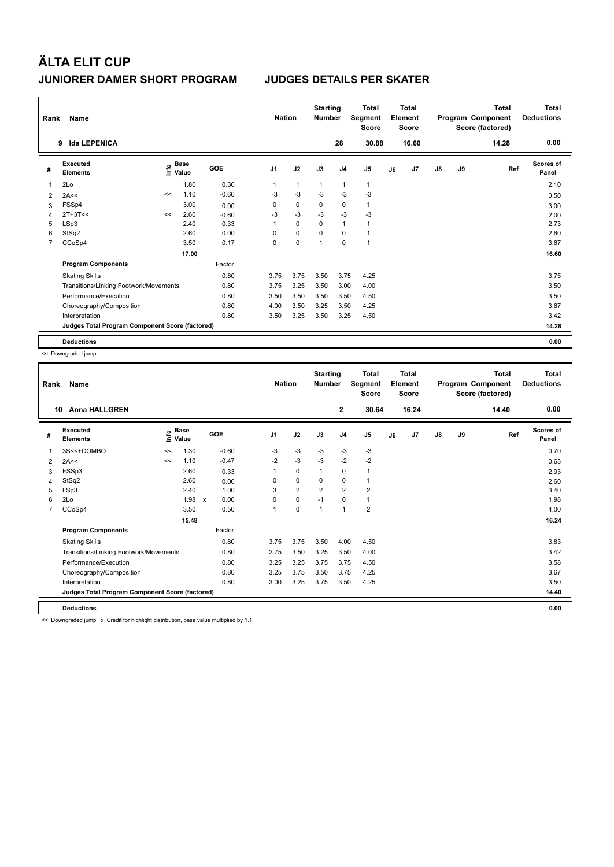| Rank           | Name                                            | <b>Nation</b> |                                    | <b>Starting</b><br><b>Number</b> |                | <b>Total</b><br>Segment<br><b>Score</b> |                | <b>Total</b><br>Element<br><b>Score</b> |                |    | Total<br>Program Component<br>Score (factored) | <b>Total</b><br><b>Deductions</b> |    |       |                    |
|----------------|-------------------------------------------------|---------------|------------------------------------|----------------------------------|----------------|-----------------------------------------|----------------|-----------------------------------------|----------------|----|------------------------------------------------|-----------------------------------|----|-------|--------------------|
|                | <b>Ida LEPENICA</b><br>9                        |               |                                    |                                  |                |                                         |                | 28                                      | 30.88          |    | 16.60                                          |                                   |    | 14.28 | 0.00               |
| #              | Executed<br><b>Elements</b>                     |               | <b>Base</b><br>$\frac{6}{5}$ Value | GOE                              | J <sub>1</sub> | J2                                      | J3             | J <sub>4</sub>                          | J <sub>5</sub> | J6 | J <sub>7</sub>                                 | $\mathsf{J}8$                     | J9 | Ref   | Scores of<br>Panel |
| 1              | 2Lo                                             |               | 1.80                               | 0.30                             | 1              | $\mathbf{1}$                            | $\overline{1}$ | $\overline{1}$                          | 1              |    |                                                |                                   |    |       | 2.10               |
| 2              | 2A<<                                            | <<            | 1.10                               | $-0.60$                          | $-3$           | $-3$                                    | $-3$           | $-3$                                    | $-3$           |    |                                                |                                   |    |       | 0.50               |
| 3              | FSSp4                                           |               | 3.00                               | 0.00                             | 0              | $\mathbf 0$                             | 0              | 0                                       | $\mathbf{1}$   |    |                                                |                                   |    |       | 3.00               |
| 4              | $2T+3T<<$                                       | <<            | 2.60                               | $-0.60$                          | $-3$           | $-3$                                    | $-3$           | $-3$                                    | $-3$           |    |                                                |                                   |    |       | 2.00               |
| 5              | LSp3                                            |               | 2.40                               | 0.33                             | 1              | $\Omega$                                | $\Omega$       | $\overline{1}$                          | 1              |    |                                                |                                   |    |       | 2.73               |
| 6              | StSq2                                           |               | 2.60                               | 0.00                             | 0              | $\mathbf 0$                             | 0              | $\mathbf 0$                             |                |    |                                                |                                   |    |       | 2.60               |
| $\overline{7}$ | CCoSp4                                          |               | 3.50                               | 0.17                             | 0              | $\mathbf 0$                             | 1              | $\mathbf 0$                             | 1              |    |                                                |                                   |    |       | 3.67               |
|                |                                                 |               | 17.00                              |                                  |                |                                         |                |                                         |                |    |                                                |                                   |    |       | 16.60              |
|                | <b>Program Components</b>                       |               |                                    | Factor                           |                |                                         |                |                                         |                |    |                                                |                                   |    |       |                    |
|                | <b>Skating Skills</b>                           |               |                                    | 0.80                             | 3.75           | 3.75                                    | 3.50           | 3.75                                    | 4.25           |    |                                                |                                   |    |       | 3.75               |
|                | Transitions/Linking Footwork/Movements          |               |                                    | 0.80                             | 3.75           | 3.25                                    | 3.50           | 3.00                                    | 4.00           |    |                                                |                                   |    |       | 3.50               |
|                | Performance/Execution                           |               |                                    | 0.80                             | 3.50           | 3.50                                    | 3.50           | 3.50                                    | 4.50           |    |                                                |                                   |    |       | 3.50               |
|                | Choreography/Composition                        |               |                                    | 0.80                             | 4.00           | 3.50                                    | 3.25           | 3.50                                    | 4.25           |    |                                                |                                   |    |       | 3.67               |
|                | Interpretation                                  |               |                                    | 0.80                             | 3.50           | 3.25                                    | 3.50           | 3.25                                    | 4.50           |    |                                                |                                   |    |       | 3.42               |
|                | Judges Total Program Component Score (factored) |               |                                    |                                  |                |                                         |                |                                         |                |    |                                                |                                   |    |       | 14.28              |
|                | <b>Deductions</b>                               |               |                                    |                                  |                |                                         |                |                                         |                |    |                                                |                                   |    |       | 0.00               |

<< Downgraded jump

| Rank | Name                                            |      | <b>Nation</b>        | <b>Starting</b><br><b>Number</b> |          | Total<br>Segment<br><b>Score</b> |                | Total<br>Element<br><b>Score</b> |                |    | <b>Total</b><br>Program Component<br>Score (factored) | <b>Total</b><br><b>Deductions</b> |    |       |                           |
|------|-------------------------------------------------|------|----------------------|----------------------------------|----------|----------------------------------|----------------|----------------------------------|----------------|----|-------------------------------------------------------|-----------------------------------|----|-------|---------------------------|
|      | <b>Anna HALLGREN</b><br>10                      |      |                      |                                  |          |                                  |                | $\mathbf{2}$                     | 30.64          |    | 16.24                                                 |                                   |    | 14.40 | 0.00                      |
| #    | Executed<br><b>Elements</b>                     | ١nfo | <b>Base</b><br>Value | GOE                              | J1       | J2                               | J3             | J <sub>4</sub>                   | J <sub>5</sub> | J6 | J <sub>7</sub>                                        | $\mathsf{J}8$                     | J9 | Ref   | <b>Scores of</b><br>Panel |
| 1    | 3S<<+COMBO                                      | <<   | 1.30                 | $-0.60$                          | $-3$     | $-3$                             | $-3$           | $-3$                             | $-3$           |    |                                                       |                                   |    |       | 0.70                      |
| 2    | 2A<<                                            | <<   | 1.10                 | $-0.47$                          | $-2$     | $-3$                             | $-3$           | $-2$                             | $-2$           |    |                                                       |                                   |    |       | 0.63                      |
| 3    | FSSp3                                           |      | 2.60                 | 0.33                             |          | 0                                | $\mathbf{1}$   | 0                                | 1              |    |                                                       |                                   |    |       | 2.93                      |
| 4    | StSq2                                           |      | 2.60                 | 0.00                             | $\Omega$ | 0                                | 0              | 0                                | 1              |    |                                                       |                                   |    |       | 2.60                      |
| 5    | LSp3                                            |      | 2.40                 | 1.00                             | 3        | $\overline{2}$                   | $\overline{2}$ | $\overline{2}$                   | $\overline{2}$ |    |                                                       |                                   |    |       | 3.40                      |
| 6    | 2Lo                                             |      | 1.98                 | 0.00<br>$\mathsf{x}$             | $\Omega$ | $\mathbf 0$                      | $-1$           | $\Omega$                         | $\mathbf{1}$   |    |                                                       |                                   |    |       | 1.98                      |
| 7    | CCoSp4                                          |      | 3.50                 | 0.50                             | 1        | $\mathbf 0$                      | 1              | 1                                | $\overline{2}$ |    |                                                       |                                   |    |       | 4.00                      |
|      |                                                 |      | 15.48                |                                  |          |                                  |                |                                  |                |    |                                                       |                                   |    |       | 16.24                     |
|      | <b>Program Components</b>                       |      |                      | Factor                           |          |                                  |                |                                  |                |    |                                                       |                                   |    |       |                           |
|      | <b>Skating Skills</b>                           |      |                      | 0.80                             | 3.75     | 3.75                             | 3.50           | 4.00                             | 4.50           |    |                                                       |                                   |    |       | 3.83                      |
|      | Transitions/Linking Footwork/Movements          |      |                      | 0.80                             | 2.75     | 3.50                             | 3.25           | 3.50                             | 4.00           |    |                                                       |                                   |    |       | 3.42                      |
|      | Performance/Execution                           |      |                      | 0.80                             | 3.25     | 3.25                             | 3.75           | 3.75                             | 4.50           |    |                                                       |                                   |    |       | 3.58                      |
|      | Choreography/Composition                        |      |                      | 0.80                             | 3.25     | 3.75                             | 3.50           | 3.75                             | 4.25           |    |                                                       |                                   |    |       | 3.67                      |
|      | Interpretation                                  |      |                      | 0.80                             | 3.00     | 3.25                             | 3.75           | 3.50                             | 4.25           |    |                                                       |                                   |    |       | 3.50                      |
|      | Judges Total Program Component Score (factored) |      |                      |                                  |          |                                  |                |                                  |                |    |                                                       |                                   |    |       | 14.40                     |
|      | <b>Deductions</b>                               |      |                      |                                  |          |                                  |                |                                  |                |    |                                                       |                                   |    |       | 0.00                      |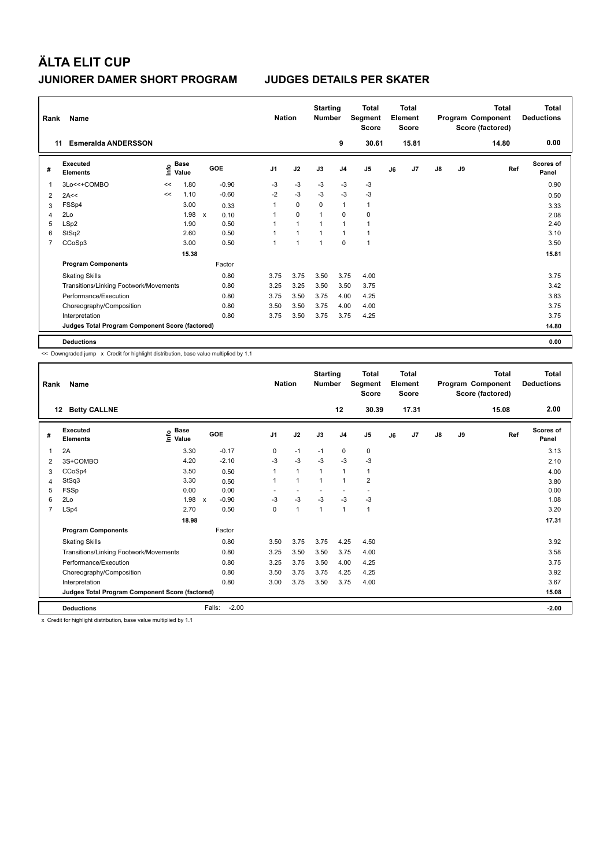| Rank           | Name                                            |    |                                  |                      |                | <b>Nation</b>        | <b>Starting</b><br><b>Number</b> |                | <b>Total</b><br>Segment<br><b>Score</b> |    | <b>Total</b><br>Element<br><b>Score</b> |               |    | <b>Total</b><br>Program Component<br>Score (factored) | <b>Total</b><br><b>Deductions</b> |
|----------------|-------------------------------------------------|----|----------------------------------|----------------------|----------------|----------------------|----------------------------------|----------------|-----------------------------------------|----|-----------------------------------------|---------------|----|-------------------------------------------------------|-----------------------------------|
| 11             | <b>Esmeralda ANDERSSON</b>                      |    |                                  |                      |                |                      |                                  | 9              | 30.61                                   |    | 15.81                                   |               |    | 14.80                                                 | 0.00                              |
| #              | Executed<br><b>Elements</b>                     |    | <b>Base</b><br>e Base<br>⊆ Value | GOE                  | J <sub>1</sub> | J2                   | J3                               | J <sub>4</sub> | J <sub>5</sub>                          | J6 | J7                                      | $\mathsf{J}8$ | J9 | Ref                                                   | <b>Scores of</b><br>Panel         |
| $\mathbf 1$    | 3Lo<<+COMBO                                     | << | .80<br>1                         | $-0.90$              | -3             | -3                   | -3                               | -3             | -3                                      |    |                                         |               |    |                                                       | 0.90                              |
| 2              | 2A<<                                            | << | 1.10                             | $-0.60$              | $-2$           | $-3$                 | $-3$                             | $-3$           | $-3$                                    |    |                                         |               |    |                                                       | 0.50                              |
| 3              | FSSp4                                           |    | 3.00                             | 0.33                 |                | $\mathbf 0$          | 0                                | $\mathbf{1}$   | 1                                       |    |                                         |               |    |                                                       | 3.33                              |
| $\overline{4}$ | 2Lo                                             |    | 1.98                             | $\mathsf{x}$<br>0.10 |                | $\mathbf 0$          | $\mathbf 1$                      | 0              | $\mathbf 0$                             |    |                                         |               |    |                                                       | 2.08                              |
| 5              | LSp2                                            |    | 1.90                             | 0.50                 |                | $\blacktriangleleft$ | 1                                | $\mathbf{1}$   | $\blacktriangleleft$                    |    |                                         |               |    |                                                       | 2.40                              |
| 6              | StSq2                                           |    | 2.60                             | 0.50                 |                | 1                    | $\mathbf{1}$                     | $\mathbf{1}$   | 1                                       |    |                                         |               |    |                                                       | 3.10                              |
| 7              | CCoSp3                                          |    | 3.00                             | 0.50                 |                | $\overline{1}$       | $\mathbf{1}$                     | $\mathbf 0$    | 1                                       |    |                                         |               |    |                                                       | 3.50                              |
|                |                                                 |    | 15.38                            |                      |                |                      |                                  |                |                                         |    |                                         |               |    |                                                       | 15.81                             |
|                | <b>Program Components</b>                       |    |                                  | Factor               |                |                      |                                  |                |                                         |    |                                         |               |    |                                                       |                                   |
|                | <b>Skating Skills</b>                           |    |                                  | 0.80                 | 3.75           | 3.75                 | 3.50                             | 3.75           | 4.00                                    |    |                                         |               |    |                                                       | 3.75                              |
|                | Transitions/Linking Footwork/Movements          |    |                                  | 0.80                 | 3.25           | 3.25                 | 3.50                             | 3.50           | 3.75                                    |    |                                         |               |    |                                                       | 3.42                              |
|                | Performance/Execution                           |    |                                  | 0.80                 | 3.75           | 3.50                 | 3.75                             | 4.00           | 4.25                                    |    |                                         |               |    |                                                       | 3.83                              |
|                | Choreography/Composition                        |    |                                  | 0.80                 | 3.50           | 3.50                 | 3.75                             | 4.00           | 4.00                                    |    |                                         |               |    |                                                       | 3.75                              |
|                | Interpretation                                  |    |                                  | 0.80                 | 3.75           | 3.50                 | 3.75                             | 3.75           | 4.25                                    |    |                                         |               |    |                                                       | 3.75                              |
|                | Judges Total Program Component Score (factored) |    |                                  |                      |                |                      |                                  |                |                                         |    |                                         |               |    |                                                       | 14.80                             |
|                | <b>Deductions</b>                               |    |                                  |                      |                |                      |                                  |                |                                         |    |                                         |               |    |                                                       | 0.00                              |

<< Downgraded jump x Credit for highlight distribution, base value multiplied by 1.1

| Rank | Name                                            |                                           |                         | <b>Nation</b>  |                | <b>Starting</b><br><b>Number</b> |                | <b>Total</b><br>Segment<br><b>Score</b> |    | <b>Total</b><br>Element<br><b>Score</b> |               |    | <b>Total</b><br>Program Component<br>Score (factored) | <b>Total</b><br><b>Deductions</b> |
|------|-------------------------------------------------|-------------------------------------------|-------------------------|----------------|----------------|----------------------------------|----------------|-----------------------------------------|----|-----------------------------------------|---------------|----|-------------------------------------------------------|-----------------------------------|
|      | <b>Betty CALLNE</b><br>12                       |                                           |                         |                |                |                                  | 12             | 30.39                                   |    | 17.31                                   |               |    | 15.08                                                 | 2.00                              |
| #    | Executed<br><b>Elements</b>                     | $\frac{e}{E}$ Base<br>$\frac{E}{E}$ Value | GOE                     | J <sub>1</sub> | J2             | J3                               | J <sub>4</sub> | J5                                      | J6 | J7                                      | $\mathsf{J}8$ | J9 | Ref                                                   | Scores of<br>Panel                |
| 1    | 2A                                              | 3.30                                      | $-0.17$                 | 0              | $-1$           | $-1$                             | 0              | 0                                       |    |                                         |               |    |                                                       | 3.13                              |
| 2    | 3S+COMBO                                        | 4.20                                      | $-2.10$                 | $-3$           | $-3$           | $-3$                             | $-3$           | $-3$                                    |    |                                         |               |    |                                                       | 2.10                              |
| 3    | CCoSp4                                          | 3.50                                      | 0.50                    |                | $\mathbf{1}$   | 1                                | 1              | 1                                       |    |                                         |               |    |                                                       | 4.00                              |
| 4    | StSq3                                           | 3.30                                      | 0.50                    |                | $\overline{1}$ | 1                                | $\overline{1}$ | $\overline{\mathbf{c}}$                 |    |                                         |               |    |                                                       | 3.80                              |
| 5    | FSSp                                            | 0.00                                      | 0.00                    |                |                |                                  |                |                                         |    |                                         |               |    |                                                       | 0.00                              |
| 6    | 2Lo                                             | 1.98                                      | $-0.90$<br>$\mathsf{x}$ | $-3$           | $-3$           | -3                               | $-3$           | $-3$                                    |    |                                         |               |    |                                                       | 1.08                              |
| 7    | LSp4                                            | 2.70                                      | 0.50                    | $\mathbf 0$    | $\mathbf{1}$   | $\overline{1}$                   | $\overline{1}$ | $\mathbf{1}$                            |    |                                         |               |    |                                                       | 3.20                              |
|      |                                                 | 18.98                                     |                         |                |                |                                  |                |                                         |    |                                         |               |    |                                                       | 17.31                             |
|      | <b>Program Components</b>                       |                                           | Factor                  |                |                |                                  |                |                                         |    |                                         |               |    |                                                       |                                   |
|      | <b>Skating Skills</b>                           |                                           | 0.80                    | 3.50           | 3.75           | 3.75                             | 4.25           | 4.50                                    |    |                                         |               |    |                                                       | 3.92                              |
|      | Transitions/Linking Footwork/Movements          |                                           | 0.80                    | 3.25           | 3.50           | 3.50                             | 3.75           | 4.00                                    |    |                                         |               |    |                                                       | 3.58                              |
|      | Performance/Execution                           |                                           | 0.80                    | 3.25           | 3.75           | 3.50                             | 4.00           | 4.25                                    |    |                                         |               |    |                                                       | 3.75                              |
|      | Choreography/Composition                        |                                           | 0.80                    | 3.50           | 3.75           | 3.75                             | 4.25           | 4.25                                    |    |                                         |               |    |                                                       | 3.92                              |
|      | Interpretation                                  |                                           | 0.80                    | 3.00           | 3.75           | 3.50                             | 3.75           | 4.00                                    |    |                                         |               |    |                                                       | 3.67                              |
|      | Judges Total Program Component Score (factored) |                                           |                         |                |                |                                  |                |                                         |    |                                         |               |    |                                                       | 15.08                             |
|      | <b>Deductions</b>                               |                                           | Falls:<br>$-2.00$       |                |                |                                  |                |                                         |    |                                         |               |    |                                                       | $-2.00$                           |

x Credit for highlight distribution, base value multiplied by 1.1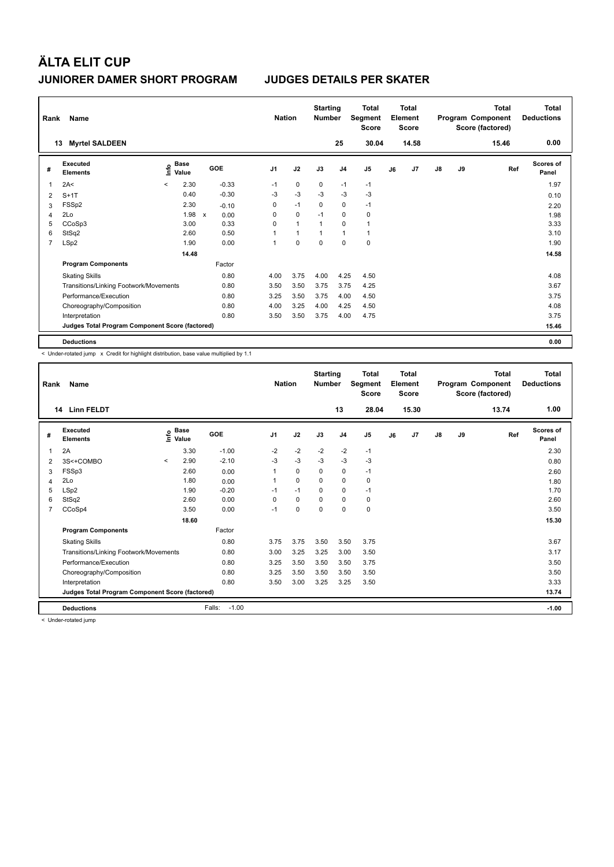| Rank           | Name                                            |         |               |              |         | <b>Nation</b>  |                | <b>Starting</b><br><b>Number</b> |                | <b>Total</b><br>Segment<br><b>Score</b> |    | <b>Total</b><br>Element<br><b>Score</b> |               |    | Total<br>Program Component<br>Score (factored) | Total<br><b>Deductions</b> |
|----------------|-------------------------------------------------|---------|---------------|--------------|---------|----------------|----------------|----------------------------------|----------------|-----------------------------------------|----|-----------------------------------------|---------------|----|------------------------------------------------|----------------------------|
|                | <b>Myrtel SALDEEN</b><br>13                     |         |               |              |         |                |                |                                  | 25             | 30.04                                   |    | 14.58                                   |               |    | 15.46                                          | 0.00                       |
| #              | Executed<br><b>Elements</b>                     | lnfo    | Base<br>Value |              | GOE     | J <sub>1</sub> | J2             | J3                               | J <sub>4</sub> | J <sub>5</sub>                          | J6 | J <sub>7</sub>                          | $\mathsf{J}8$ | J9 | Ref                                            | Scores of<br>Panel         |
| 1              | 2A<                                             | $\prec$ | 2.30          |              | $-0.33$ | $-1$           | 0              | 0                                | $-1$           | $-1$                                    |    |                                         |               |    |                                                | 1.97                       |
| 2              | $S+1T$                                          |         | 0.40          |              | $-0.30$ | -3             | $-3$           | $-3$                             | $-3$           | $-3$                                    |    |                                         |               |    |                                                | 0.10                       |
| 3              | FSSp2                                           |         | 2.30          |              | $-0.10$ | 0              | $-1$           | 0                                | 0              | $-1$                                    |    |                                         |               |    |                                                | 2.20                       |
| 4              | 2Lo                                             |         | 1.98          | $\mathsf{x}$ | 0.00    | 0              | $\mathbf 0$    | $-1$                             | $\mathbf 0$    | 0                                       |    |                                         |               |    |                                                | 1.98                       |
| 5              | CCoSp3                                          |         | 3.00          |              | 0.33    | $\Omega$       | $\overline{1}$ | $\overline{1}$                   | $\Omega$       | $\overline{1}$                          |    |                                         |               |    |                                                | 3.33                       |
| 6              | StSq2                                           |         | 2.60          |              | 0.50    | 1              | $\overline{1}$ | $\overline{1}$                   | $\mathbf{1}$   | $\mathbf{1}$                            |    |                                         |               |    |                                                | 3.10                       |
| $\overline{7}$ | LSp2                                            |         | 1.90          |              | 0.00    | 1              | $\mathbf 0$    | $\mathbf 0$                      | $\mathbf 0$    | $\mathbf 0$                             |    |                                         |               |    |                                                | 1.90                       |
|                |                                                 |         | 14.48         |              |         |                |                |                                  |                |                                         |    |                                         |               |    |                                                | 14.58                      |
|                | <b>Program Components</b>                       |         |               |              | Factor  |                |                |                                  |                |                                         |    |                                         |               |    |                                                |                            |
|                | <b>Skating Skills</b>                           |         |               |              | 0.80    | 4.00           | 3.75           | 4.00                             | 4.25           | 4.50                                    |    |                                         |               |    |                                                | 4.08                       |
|                | Transitions/Linking Footwork/Movements          |         |               |              | 0.80    | 3.50           | 3.50           | 3.75                             | 3.75           | 4.25                                    |    |                                         |               |    |                                                | 3.67                       |
|                | Performance/Execution                           |         |               |              | 0.80    | 3.25           | 3.50           | 3.75                             | 4.00           | 4.50                                    |    |                                         |               |    |                                                | 3.75                       |
|                | Choreography/Composition                        |         |               |              | 0.80    | 4.00           | 3.25           | 4.00                             | 4.25           | 4.50                                    |    |                                         |               |    |                                                | 4.08                       |
|                | Interpretation                                  |         |               |              | 0.80    | 3.50           | 3.50           | 3.75                             | 4.00           | 4.75                                    |    |                                         |               |    |                                                | 3.75                       |
|                | Judges Total Program Component Score (factored) |         |               |              |         |                |                |                                  |                |                                         |    |                                         |               |    |                                                | 15.46                      |
|                | <b>Deductions</b>                               |         |               |              |         |                |                |                                  |                |                                         |    |                                         |               |    |                                                | 0.00                       |

< Under-rotated jump x Credit for highlight distribution, base value multiplied by 1.1

| Rank | Name                                            |         |                                           |                   | <b>Nation</b>  |          | <b>Starting</b><br><b>Number</b> |                | Total<br>Segment<br><b>Score</b> |    | Total<br>Element<br><b>Score</b> |    |    | Total<br>Program Component<br>Score (factored) | <b>Total</b><br><b>Deductions</b> |
|------|-------------------------------------------------|---------|-------------------------------------------|-------------------|----------------|----------|----------------------------------|----------------|----------------------------------|----|----------------------------------|----|----|------------------------------------------------|-----------------------------------|
|      | <b>Linn FELDT</b><br>14                         |         |                                           |                   |                |          |                                  | 13             | 28.04                            |    | 15.30                            |    |    | 13.74                                          | 1.00                              |
| #    | Executed<br><b>Elements</b>                     |         | $\frac{e}{E}$ Base<br>$\frac{E}{E}$ Value | <b>GOE</b>        | J <sub>1</sub> | J2       | J3                               | J <sub>4</sub> | J <sub>5</sub>                   | J6 | J <sub>7</sub>                   | J8 | J9 | Ref                                            | <b>Scores of</b><br>Panel         |
| 1    | 2A                                              |         | 3.30                                      | $-1.00$           | $-2$           | $-2$     | $-2$                             | $-2$           | $-1$                             |    |                                  |    |    |                                                | 2.30                              |
| 2    | 3S<+COMBO                                       | $\prec$ | 2.90                                      | $-2.10$           | $-3$           | $-3$     | $-3$                             | $-3$           | $-3$                             |    |                                  |    |    |                                                | 0.80                              |
| 3    | FSSp3                                           |         | 2.60                                      | 0.00              | 1              | 0        | 0                                | 0              | $-1$                             |    |                                  |    |    |                                                | 2.60                              |
| 4    | 2Lo                                             |         | 1.80                                      | 0.00              |                | $\Omega$ | $\Omega$                         | 0              | 0                                |    |                                  |    |    |                                                | 1.80                              |
| 5    | LSp2                                            |         | 1.90                                      | $-0.20$           | $-1$           | $-1$     | $\Omega$                         | 0              | $-1$                             |    |                                  |    |    |                                                | 1.70                              |
| 6    | StSq2                                           |         | 2.60                                      | 0.00              | $\Omega$       | $\Omega$ | $\Omega$                         | $\Omega$       | 0                                |    |                                  |    |    |                                                | 2.60                              |
| 7    | CCoSp4                                          |         | 3.50                                      | 0.00              | $-1$           | 0        | $\Omega$                         | 0              | 0                                |    |                                  |    |    |                                                | 3.50                              |
|      |                                                 |         | 18.60                                     |                   |                |          |                                  |                |                                  |    |                                  |    |    |                                                | 15.30                             |
|      | <b>Program Components</b>                       |         |                                           | Factor            |                |          |                                  |                |                                  |    |                                  |    |    |                                                |                                   |
|      | <b>Skating Skills</b>                           |         |                                           | 0.80              | 3.75           | 3.75     | 3.50                             | 3.50           | 3.75                             |    |                                  |    |    |                                                | 3.67                              |
|      | Transitions/Linking Footwork/Movements          |         |                                           | 0.80              | 3.00           | 3.25     | 3.25                             | 3.00           | 3.50                             |    |                                  |    |    |                                                | 3.17                              |
|      | Performance/Execution                           |         |                                           | 0.80              | 3.25           | 3.50     | 3.50                             | 3.50           | 3.75                             |    |                                  |    |    |                                                | 3.50                              |
|      | Choreography/Composition                        |         |                                           | 0.80              | 3.25           | 3.50     | 3.50                             | 3.50           | 3.50                             |    |                                  |    |    |                                                | 3.50                              |
|      | Interpretation                                  |         |                                           | 0.80              | 3.50           | 3.00     | 3.25                             | 3.25           | 3.50                             |    |                                  |    |    |                                                | 3.33                              |
|      | Judges Total Program Component Score (factored) |         |                                           |                   |                |          |                                  |                |                                  |    |                                  |    |    |                                                | 13.74                             |
|      | <b>Deductions</b>                               |         |                                           | $-1.00$<br>Falls: |                |          |                                  |                |                                  |    |                                  |    |    |                                                | $-1.00$                           |

< Under-rotated jump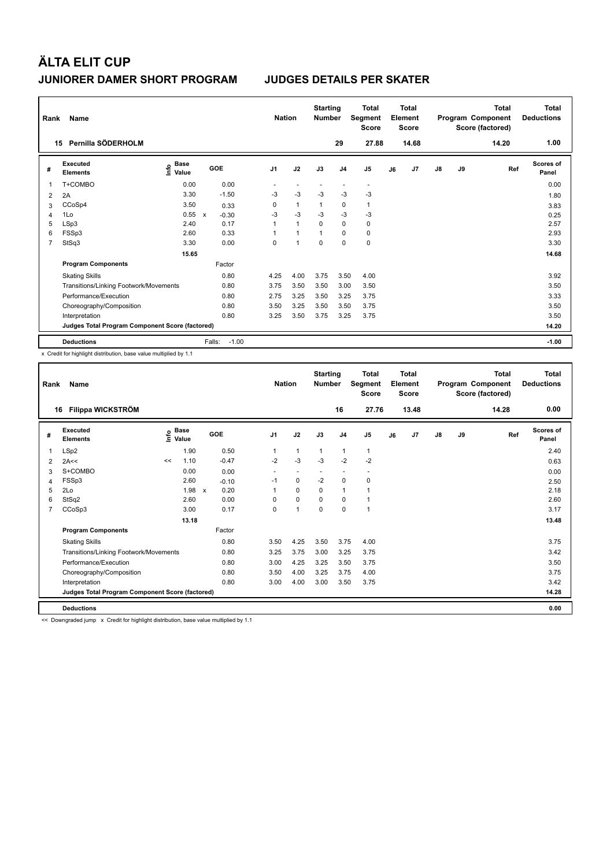| Rank         | Name                                            |                              |              |         | <b>Nation</b>  |              | <b>Starting</b><br><b>Number</b> |                | Total<br>Segment<br><b>Score</b> |    | <b>Total</b><br>Element<br><b>Score</b> |               |    | <b>Total</b><br>Program Component<br>Score (factored) | <b>Total</b><br><b>Deductions</b> |
|--------------|-------------------------------------------------|------------------------------|--------------|---------|----------------|--------------|----------------------------------|----------------|----------------------------------|----|-----------------------------------------|---------------|----|-------------------------------------------------------|-----------------------------------|
|              | Pernilla SÖDERHOLM<br>15                        |                              |              |         |                |              |                                  | 29             | 27.88                            |    | 14.68                                   |               |    | 14.20                                                 | 1.00                              |
| #            | Executed<br><b>Elements</b>                     | <b>Base</b><br>lnfo<br>Value | GOE          |         | J <sub>1</sub> | J2           | J3                               | J <sub>4</sub> | J <sub>5</sub>                   | J6 | J7                                      | $\mathsf{J}8$ | J9 | Ref                                                   | <b>Scores of</b><br>Panel         |
| $\mathbf{1}$ | T+COMBO                                         | 0.00                         |              | 0.00    |                |              |                                  |                | $\overline{\phantom{a}}$         |    |                                         |               |    |                                                       | 0.00                              |
| 2            | 2A                                              | 3.30                         |              | $-1.50$ | $-3$           | $-3$         | $-3$                             | $-3$           | $-3$                             |    |                                         |               |    |                                                       | 1.80                              |
| 3            | CCoSp4                                          | 3.50                         |              | 0.33    | 0              | $\mathbf{1}$ | 1                                | $\mathbf 0$    | 1                                |    |                                         |               |    |                                                       | 3.83                              |
| 4            | 1Lo                                             | 0.55                         | $\mathsf{x}$ | $-0.30$ | $-3$           | $-3$         | $-3$                             | $-3$           | $-3$                             |    |                                         |               |    |                                                       | 0.25                              |
| 5            | LSp3                                            | 2.40                         |              | 0.17    | $\mathbf{1}$   | $\mathbf{1}$ | 0                                | $\mathbf 0$    | 0                                |    |                                         |               |    |                                                       | 2.57                              |
| 6            | FSSp3                                           | 2.60                         |              | 0.33    | 1              | 1            |                                  | $\mathbf 0$    | 0                                |    |                                         |               |    |                                                       | 2.93                              |
| 7            | StSq3                                           | 3.30                         |              | 0.00    | 0              | 1            | $\mathbf 0$                      | $\mathbf 0$    | 0                                |    |                                         |               |    |                                                       | 3.30                              |
|              |                                                 | 15.65                        |              |         |                |              |                                  |                |                                  |    |                                         |               |    |                                                       | 14.68                             |
|              | <b>Program Components</b>                       |                              |              | Factor  |                |              |                                  |                |                                  |    |                                         |               |    |                                                       |                                   |
|              | <b>Skating Skills</b>                           |                              |              | 0.80    | 4.25           | 4.00         | 3.75                             | 3.50           | 4.00                             |    |                                         |               |    |                                                       | 3.92                              |
|              | Transitions/Linking Footwork/Movements          |                              |              | 0.80    | 3.75           | 3.50         | 3.50                             | 3.00           | 3.50                             |    |                                         |               |    |                                                       | 3.50                              |
|              | Performance/Execution                           |                              |              | 0.80    | 2.75           | 3.25         | 3.50                             | 3.25           | 3.75                             |    |                                         |               |    |                                                       | 3.33                              |
|              | Choreography/Composition                        |                              |              | 0.80    | 3.50           | 3.25         | 3.50                             | 3.50           | 3.75                             |    |                                         |               |    |                                                       | 3.50                              |
|              | Interpretation                                  |                              |              | 0.80    | 3.25           | 3.50         | 3.75                             | 3.25           | 3.75                             |    |                                         |               |    |                                                       | 3.50                              |
|              | Judges Total Program Component Score (factored) |                              |              |         |                |              |                                  |                |                                  |    |                                         |               |    |                                                       | 14.20                             |
|              | <b>Deductions</b>                               |                              | Falls:       | $-1.00$ |                |              |                                  |                |                                  |    |                                         |               |    |                                                       | $-1.00$                           |

x Credit for highlight distribution, base value multiplied by 1.1

| Rank | <b>Name</b>                                     |    |                                           |     |         |                | <b>Nation</b> | <b>Starting</b><br><b>Number</b> |                | Total<br>Segment<br><b>Score</b> |    | Total<br>Element<br><b>Score</b> |    |    | Total<br>Program Component<br>Score (factored) | <b>Total</b><br><b>Deductions</b> |
|------|-------------------------------------------------|----|-------------------------------------------|-----|---------|----------------|---------------|----------------------------------|----------------|----------------------------------|----|----------------------------------|----|----|------------------------------------------------|-----------------------------------|
|      | <b>Filippa WICKSTRÖM</b><br>16                  |    |                                           |     |         |                |               |                                  | 16             | 27.76                            |    | 13.48                            |    |    | 14.28                                          | 0.00                              |
| #    | Executed<br><b>Elements</b>                     |    | $\frac{e}{E}$ Base<br>$\frac{E}{E}$ Value | GOE |         | J <sub>1</sub> | J2            | J3                               | J <sub>4</sub> | J <sub>5</sub>                   | J6 | J <sub>7</sub>                   | J8 | J9 | Ref                                            | <b>Scores of</b><br>Panel         |
| 1    | LSp2                                            |    | 1.90                                      |     | 0.50    | 1              | $\mathbf{1}$  | $\mathbf{1}$                     | $\mathbf{1}$   | $\mathbf{1}$                     |    |                                  |    |    |                                                | 2.40                              |
| 2    | 2A<<                                            | << | 1.10                                      |     | $-0.47$ | $-2$           | $-3$          | $-3$                             | $-2$           | $-2$                             |    |                                  |    |    |                                                | 0.63                              |
| 3    | S+COMBO                                         |    | 0.00                                      |     | 0.00    |                |               |                                  |                |                                  |    |                                  |    |    |                                                | 0.00                              |
| 4    | FSSp3                                           |    | 2.60                                      |     | $-0.10$ | $-1$           | 0             | $-2$                             | $\mathbf 0$    | 0                                |    |                                  |    |    |                                                | 2.50                              |
| 5    | 2Lo                                             |    | $1.98 \times$                             |     | 0.20    | 1              | $\Omega$      | $\Omega$                         | $\mathbf{1}$   | 1                                |    |                                  |    |    |                                                | 2.18                              |
| 6    | StSq2                                           |    | 2.60                                      |     | 0.00    | 0              | $\Omega$      | $\Omega$                         | $\Omega$       | 1                                |    |                                  |    |    |                                                | 2.60                              |
| 7    | CCoSp3                                          |    | 3.00                                      |     | 0.17    | 0              | 1             | $\mathbf 0$                      | $\mathbf 0$    | $\mathbf{1}$                     |    |                                  |    |    |                                                | 3.17                              |
|      |                                                 |    | 13.18                                     |     |         |                |               |                                  |                |                                  |    |                                  |    |    |                                                | 13.48                             |
|      | <b>Program Components</b>                       |    |                                           |     | Factor  |                |               |                                  |                |                                  |    |                                  |    |    |                                                |                                   |
|      | <b>Skating Skills</b>                           |    |                                           |     | 0.80    | 3.50           | 4.25          | 3.50                             | 3.75           | 4.00                             |    |                                  |    |    |                                                | 3.75                              |
|      | Transitions/Linking Footwork/Movements          |    |                                           |     | 0.80    | 3.25           | 3.75          | 3.00                             | 3.25           | 3.75                             |    |                                  |    |    |                                                | 3.42                              |
|      | Performance/Execution                           |    |                                           |     | 0.80    | 3.00           | 4.25          | 3.25                             | 3.50           | 3.75                             |    |                                  |    |    |                                                | 3.50                              |
|      | Choreography/Composition                        |    |                                           |     | 0.80    | 3.50           | 4.00          | 3.25                             | 3.75           | 4.00                             |    |                                  |    |    |                                                | 3.75                              |
|      | Interpretation                                  |    |                                           |     | 0.80    | 3.00           | 4.00          | 3.00                             | 3.50           | 3.75                             |    |                                  |    |    |                                                | 3.42                              |
|      | Judges Total Program Component Score (factored) |    |                                           |     |         |                |               |                                  |                |                                  |    |                                  |    |    |                                                | 14.28                             |
|      | <b>Deductions</b>                               |    |                                           |     |         |                |               |                                  |                |                                  |    |                                  |    |    |                                                | 0.00                              |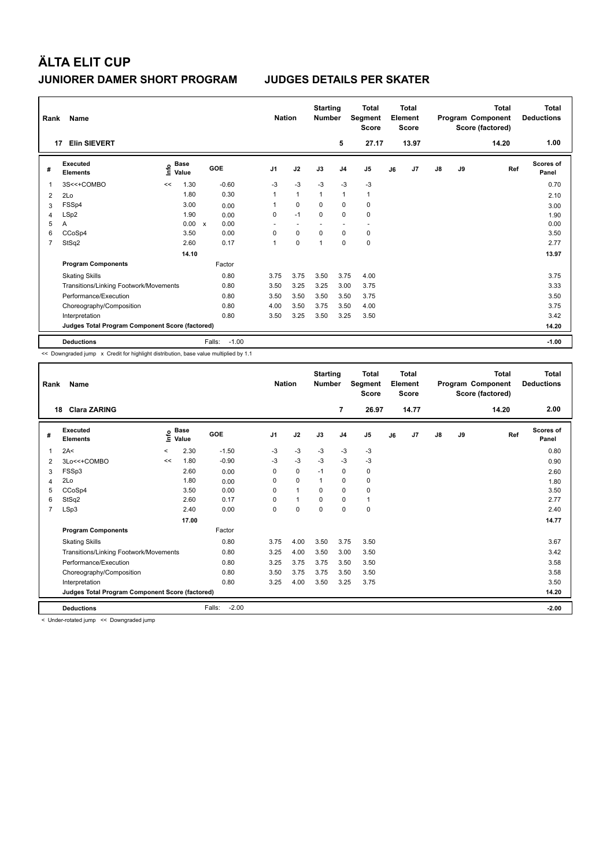| Rank           | Name                                            |                              |              |         | <b>Nation</b>  |              | <b>Starting</b><br><b>Number</b> |                | Total<br>Segment<br><b>Score</b> |    | Total<br>Element<br><b>Score</b> |               |    | Total<br>Program Component<br>Score (factored) | Total<br><b>Deductions</b> |
|----------------|-------------------------------------------------|------------------------------|--------------|---------|----------------|--------------|----------------------------------|----------------|----------------------------------|----|----------------------------------|---------------|----|------------------------------------------------|----------------------------|
|                | <b>Elin SIEVERT</b><br>17                       |                              |              |         |                |              |                                  | 5              | 27.17                            |    | 13.97                            |               |    | 14.20                                          | 1.00                       |
| #              | Executed<br><b>Elements</b>                     | <b>Base</b><br>lnfo<br>Value |              | GOE     | J <sub>1</sub> | J2           | J3                               | J <sub>4</sub> | J <sub>5</sub>                   | J6 | J7                               | $\mathsf{J}8$ | J9 | Ref                                            | <b>Scores of</b><br>Panel  |
| 1              | 3S<<+COMBO                                      | 1.30<br><<                   |              | $-0.60$ | $-3$           | $-3$         | $-3$                             | $-3$           | $-3$                             |    |                                  |               |    |                                                | 0.70                       |
| $\overline{2}$ | 2Lo                                             | 1.80                         |              | 0.30    | 1              | $\mathbf{1}$ | $\overline{1}$                   | $\mathbf{1}$   | $\mathbf{1}$                     |    |                                  |               |    |                                                | 2.10                       |
| 3              | FSSp4                                           | 3.00                         |              | 0.00    | 1              | $\mathbf 0$  | 0                                | $\mathbf 0$    | $\mathbf 0$                      |    |                                  |               |    |                                                | 3.00                       |
| 4              | LSp2                                            | 1.90                         |              | 0.00    | 0              | $-1$         | $\mathbf 0$                      | $\mathbf 0$    | $\mathbf 0$                      |    |                                  |               |    |                                                | 1.90                       |
| 5              | Α                                               | 0.00                         | $\mathsf{x}$ | 0.00    | ٠              | ٠            |                                  |                |                                  |    |                                  |               |    |                                                | 0.00                       |
| 6              | CCoSp4                                          | 3.50                         |              | 0.00    | 0              | 0            | $\Omega$                         | 0              | 0                                |    |                                  |               |    |                                                | 3.50                       |
| 7              | StSq2                                           | 2.60                         |              | 0.17    | 1              | $\mathbf 0$  | $\overline{ }$                   | $\mathbf 0$    | 0                                |    |                                  |               |    |                                                | 2.77                       |
|                |                                                 | 14.10                        |              |         |                |              |                                  |                |                                  |    |                                  |               |    |                                                | 13.97                      |
|                | <b>Program Components</b>                       |                              |              | Factor  |                |              |                                  |                |                                  |    |                                  |               |    |                                                |                            |
|                | <b>Skating Skills</b>                           |                              |              | 0.80    | 3.75           | 3.75         | 3.50                             | 3.75           | 4.00                             |    |                                  |               |    |                                                | 3.75                       |
|                | Transitions/Linking Footwork/Movements          |                              |              | 0.80    | 3.50           | 3.25         | 3.25                             | 3.00           | 3.75                             |    |                                  |               |    |                                                | 3.33                       |
|                | Performance/Execution                           |                              |              | 0.80    | 3.50           | 3.50         | 3.50                             | 3.50           | 3.75                             |    |                                  |               |    |                                                | 3.50                       |
|                | Choreography/Composition                        |                              |              | 0.80    | 4.00           | 3.50         | 3.75                             | 3.50           | 4.00                             |    |                                  |               |    |                                                | 3.75                       |
|                | Interpretation                                  |                              |              | 0.80    | 3.50           | 3.25         | 3.50                             | 3.25           | 3.50                             |    |                                  |               |    |                                                | 3.42                       |
|                | Judges Total Program Component Score (factored) |                              |              |         |                |              |                                  |                |                                  |    |                                  |               |    |                                                | 14.20                      |
|                | <b>Deductions</b>                               |                              | Falls:       | $-1.00$ |                |              |                                  |                |                                  |    |                                  |               |    |                                                | $-1.00$                    |

<< Downgraded jump x Credit for highlight distribution, base value multiplied by 1.1

| Rank           | Name                                            |         |                      |                   | <b>Nation</b>  |              | <b>Starting</b><br><b>Number</b> |                | <b>Total</b><br>Segment<br><b>Score</b> |    | Total<br>Element<br><b>Score</b> |               |    | Total<br>Program Component<br>Score (factored) | <b>Total</b><br><b>Deductions</b> |
|----------------|-------------------------------------------------|---------|----------------------|-------------------|----------------|--------------|----------------------------------|----------------|-----------------------------------------|----|----------------------------------|---------------|----|------------------------------------------------|-----------------------------------|
|                | <b>Clara ZARING</b><br>18                       |         |                      |                   |                |              |                                  | $\overline{7}$ | 26.97                                   |    | 14.77                            |               |    | 14.20                                          | 2.00                              |
| #              | Executed<br><b>Elements</b>                     | ١nfo    | <b>Base</b><br>Value | <b>GOE</b>        | J <sub>1</sub> | J2           | J3                               | J <sub>4</sub> | J5                                      | J6 | J7                               | $\mathsf{J}8$ | J9 | Ref                                            | <b>Scores of</b><br>Panel         |
| 1              | 2A<                                             | $\prec$ | 2.30                 | $-1.50$           | -3             | $-3$         | $-3$                             | $-3$           | $-3$                                    |    |                                  |               |    |                                                | 0.80                              |
| 2              | 3Lo<<+COMBO                                     | <<      | 1.80                 | $-0.90$           | -3             | $-3$         | $-3$                             | $-3$           | $-3$                                    |    |                                  |               |    |                                                | 0.90                              |
| 3              | FSSp3                                           |         | 2.60                 | 0.00              | 0              | $\mathbf 0$  | $-1$                             | 0              | 0                                       |    |                                  |               |    |                                                | 2.60                              |
| 4              | 2Lo                                             |         | 1.80                 | 0.00              | 0              | $\mathbf 0$  | 1                                | $\mathbf 0$    | 0                                       |    |                                  |               |    |                                                | 1.80                              |
| 5              | CCoSp4                                          |         | 3.50                 | 0.00              | $\Omega$       | $\mathbf{1}$ | $\Omega$                         | $\Omega$       | 0                                       |    |                                  |               |    |                                                | 3.50                              |
| 6              | StSq2                                           |         | 2.60                 | 0.17              | 0              | $\mathbf{1}$ | 0                                | $\mathbf 0$    | 1                                       |    |                                  |               |    |                                                | 2.77                              |
| $\overline{7}$ | LSp3                                            |         | 2.40                 | 0.00              | $\Omega$       | $\mathbf 0$  | $\Omega$                         | $\Omega$       | 0                                       |    |                                  |               |    |                                                | 2.40                              |
|                |                                                 |         | 17.00                |                   |                |              |                                  |                |                                         |    |                                  |               |    |                                                | 14.77                             |
|                | <b>Program Components</b>                       |         |                      | Factor            |                |              |                                  |                |                                         |    |                                  |               |    |                                                |                                   |
|                | <b>Skating Skills</b>                           |         |                      | 0.80              | 3.75           | 4.00         | 3.50                             | 3.75           | 3.50                                    |    |                                  |               |    |                                                | 3.67                              |
|                | Transitions/Linking Footwork/Movements          |         |                      | 0.80              | 3.25           | 4.00         | 3.50                             | 3.00           | 3.50                                    |    |                                  |               |    |                                                | 3.42                              |
|                | Performance/Execution                           |         |                      | 0.80              | 3.25           | 3.75         | 3.75                             | 3.50           | 3.50                                    |    |                                  |               |    |                                                | 3.58                              |
|                | Choreography/Composition                        |         |                      | 0.80              | 3.50           | 3.75         | 3.75                             | 3.50           | 3.50                                    |    |                                  |               |    |                                                | 3.58                              |
|                | Interpretation                                  |         |                      | 0.80              | 3.25           | 4.00         | 3.50                             | 3.25           | 3.75                                    |    |                                  |               |    |                                                | 3.50                              |
|                | Judges Total Program Component Score (factored) |         |                      |                   |                |              |                                  |                |                                         |    |                                  |               |    |                                                | 14.20                             |
|                | <b>Deductions</b><br>$\cdots$<br>$\sim$         |         |                      | $-2.00$<br>Falls: |                |              |                                  |                |                                         |    |                                  |               |    |                                                | $-2.00$                           |

< Under-rotated jump << Downgraded jump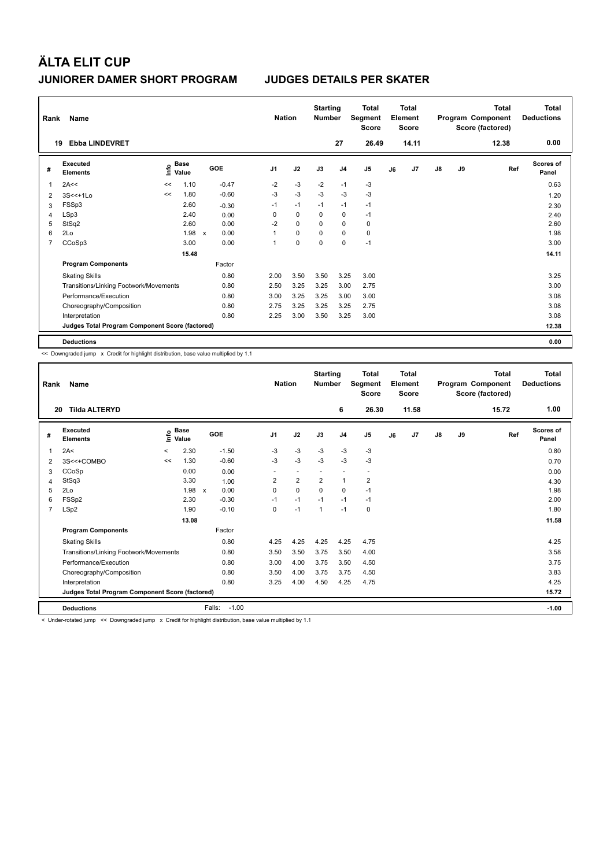| Rank           | Name                                            |      |               |                           |         |                | <b>Nation</b> | <b>Starting</b><br><b>Number</b> |                | <b>Total</b><br>Segment<br><b>Score</b> |    | <b>Total</b><br>Element<br><b>Score</b> |               |    | Total<br>Program Component<br>Score (factored) | Total<br><b>Deductions</b> |
|----------------|-------------------------------------------------|------|---------------|---------------------------|---------|----------------|---------------|----------------------------------|----------------|-----------------------------------------|----|-----------------------------------------|---------------|----|------------------------------------------------|----------------------------|
|                | <b>Ebba LINDEVRET</b><br>19                     |      |               |                           |         |                |               |                                  | 27             | 26.49                                   |    | 14.11                                   |               |    | 12.38                                          | 0.00                       |
| #              | Executed<br><b>Elements</b>                     | lnfo | Base<br>Value |                           | GOE     | J <sub>1</sub> | J2            | J3                               | J <sub>4</sub> | J <sub>5</sub>                          | J6 | J <sub>7</sub>                          | $\mathsf{J}8$ | J9 | Ref                                            | Scores of<br>Panel         |
| 1              | 2A<<                                            | <<   | 1.10          |                           | $-0.47$ | $-2$           | $-3$          | $-2$                             | $-1$           | -3                                      |    |                                         |               |    |                                                | 0.63                       |
| 2              | $3S < +1LO$                                     | <<   | 1.80          |                           | $-0.60$ | $-3$           | $-3$          | $-3$                             | $-3$           | $-3$                                    |    |                                         |               |    |                                                | 1.20                       |
| 3              | FSSp3                                           |      | 2.60          |                           | $-0.30$ | $-1$           | $-1$          | $-1$                             | $-1$           | $-1$                                    |    |                                         |               |    |                                                | 2.30                       |
| 4              | LSp3                                            |      | 2.40          |                           | 0.00    | 0              | 0             | 0                                | $\mathbf 0$    | $-1$                                    |    |                                         |               |    |                                                | 2.40                       |
| 5              | StSq2                                           |      | 2.60          |                           | 0.00    | $-2$           | $\Omega$      | $\Omega$                         | $\mathbf 0$    | $\mathbf 0$                             |    |                                         |               |    |                                                | 2.60                       |
| 6              | 2Lo                                             |      | 1.98          | $\boldsymbol{\mathsf{x}}$ | 0.00    |                | 0             | 0                                | $\mathbf 0$    | 0                                       |    |                                         |               |    |                                                | 1.98                       |
| $\overline{7}$ | CCoSp3                                          |      | 3.00          |                           | 0.00    | 1              | $\mathbf 0$   | $\mathbf 0$                      | $\mathbf 0$    | $-1$                                    |    |                                         |               |    |                                                | 3.00                       |
|                |                                                 |      | 15.48         |                           |         |                |               |                                  |                |                                         |    |                                         |               |    |                                                | 14.11                      |
|                | <b>Program Components</b>                       |      |               |                           | Factor  |                |               |                                  |                |                                         |    |                                         |               |    |                                                |                            |
|                | <b>Skating Skills</b>                           |      |               |                           | 0.80    | 2.00           | 3.50          | 3.50                             | 3.25           | 3.00                                    |    |                                         |               |    |                                                | 3.25                       |
|                | Transitions/Linking Footwork/Movements          |      |               |                           | 0.80    | 2.50           | 3.25          | 3.25                             | 3.00           | 2.75                                    |    |                                         |               |    |                                                | 3.00                       |
|                | Performance/Execution                           |      |               |                           | 0.80    | 3.00           | 3.25          | 3.25                             | 3.00           | 3.00                                    |    |                                         |               |    |                                                | 3.08                       |
|                | Choreography/Composition                        |      |               |                           | 0.80    | 2.75           | 3.25          | 3.25                             | 3.25           | 2.75                                    |    |                                         |               |    |                                                | 3.08                       |
|                | Interpretation                                  |      |               |                           | 0.80    | 2.25           | 3.00          | 3.50                             | 3.25           | 3.00                                    |    |                                         |               |    |                                                | 3.08                       |
|                | Judges Total Program Component Score (factored) |      |               |                           |         |                |               |                                  |                |                                         |    |                                         |               |    |                                                | 12.38                      |
|                | <b>Deductions</b>                               |      |               |                           |         |                |               |                                  |                |                                         |    |                                         |               |    |                                                | 0.00                       |

<< Downgraded jump x Credit for highlight distribution, base value multiplied by 1.1

| Rank           | Name                                                                                                                   |         |                    |                      | <b>Nation</b>  |                         | <b>Starting</b><br><b>Number</b> |                          | <b>Total</b><br>Segment<br><b>Score</b> |    | <b>Total</b><br>Element<br><b>Score</b> |               |    | <b>Total</b><br>Program Component<br>Score (factored) | <b>Total</b><br><b>Deductions</b> |
|----------------|------------------------------------------------------------------------------------------------------------------------|---------|--------------------|----------------------|----------------|-------------------------|----------------------------------|--------------------------|-----------------------------------------|----|-----------------------------------------|---------------|----|-------------------------------------------------------|-----------------------------------|
| 20             | <b>Tilda ALTERYD</b>                                                                                                   |         |                    |                      |                |                         |                                  | 6                        | 26.30                                   |    | 11.58                                   |               |    | 15.72                                                 | 1.00                              |
| #              | <b>Executed</b><br><b>Elements</b>                                                                                     |         | $\frac{e}{E}$ Base | GOE                  | J <sub>1</sub> | J2                      | J3                               | J <sub>4</sub>           | J5                                      | J6 | J7                                      | $\mathsf{J}8$ | J9 | Ref                                                   | Scores of<br>Panel                |
| 1              | 2A<                                                                                                                    | $\prec$ | 2.30               | $-1.50$              | $-3$           | $-3$                    | $-3$                             | $-3$                     | $-3$                                    |    |                                         |               |    |                                                       | 0.80                              |
| 2              | 3S<<+COMBO                                                                                                             | <<      | 1.30               | $-0.60$              | $-3$           | $-3$                    | $-3$                             | $-3$                     | $-3$                                    |    |                                         |               |    |                                                       | 0.70                              |
| 3              | CCoSp                                                                                                                  |         | 0.00               | 0.00                 |                | $\sim$                  |                                  | $\overline{\phantom{a}}$ |                                         |    |                                         |               |    |                                                       | 0.00                              |
| 4              | StSq3                                                                                                                  |         | 3.30               | 1.00                 | 2              | $\overline{\mathbf{c}}$ | 2                                | $\mathbf{1}$             | $\overline{\mathbf{c}}$                 |    |                                         |               |    |                                                       | 4.30                              |
| 5              | 2Lo                                                                                                                    |         | 1.98               | 0.00<br>$\mathsf{x}$ | 0              | $\Omega$                | $\Omega$                         | $\Omega$                 | $-1$                                    |    |                                         |               |    |                                                       | 1.98                              |
| 6              | FSSp2                                                                                                                  |         | 2.30               | $-0.30$              | $-1$           | $-1$                    | $-1$                             | $-1$                     | $-1$                                    |    |                                         |               |    |                                                       | 2.00                              |
| $\overline{7}$ | LSp2                                                                                                                   |         | 1.90               | $-0.10$              | 0              | $-1$                    | 1                                | $-1$                     | 0                                       |    |                                         |               |    |                                                       | 1.80                              |
|                |                                                                                                                        |         | 13.08              |                      |                |                         |                                  |                          |                                         |    |                                         |               |    |                                                       | 11.58                             |
|                | <b>Program Components</b>                                                                                              |         |                    | Factor               |                |                         |                                  |                          |                                         |    |                                         |               |    |                                                       |                                   |
|                | <b>Skating Skills</b>                                                                                                  |         |                    | 0.80                 | 4.25           | 4.25                    | 4.25                             | 4.25                     | 4.75                                    |    |                                         |               |    |                                                       | 4.25                              |
|                | Transitions/Linking Footwork/Movements                                                                                 |         |                    | 0.80                 | 3.50           | 3.50                    | 3.75                             | 3.50                     | 4.00                                    |    |                                         |               |    |                                                       | 3.58                              |
|                | Performance/Execution                                                                                                  |         |                    | 0.80                 | 3.00           | 4.00                    | 3.75                             | 3.50                     | 4.50                                    |    |                                         |               |    |                                                       | 3.75                              |
|                | Choreography/Composition                                                                                               |         |                    | 0.80                 | 3.50           | 4.00                    | 3.75                             | 3.75                     | 4.50                                    |    |                                         |               |    |                                                       | 3.83                              |
|                | Interpretation                                                                                                         |         |                    | 0.80                 | 3.25           | 4.00                    | 4.50                             | 4.25                     | 4.75                                    |    |                                         |               |    |                                                       | 4.25                              |
|                | Judges Total Program Component Score (factored)                                                                        |         |                    |                      |                |                         |                                  |                          |                                         |    |                                         |               |    |                                                       | 15.72                             |
|                | <b>Deductions</b>                                                                                                      |         |                    | Falls:<br>$-1.00$    |                |                         |                                  |                          |                                         |    |                                         |               |    |                                                       | $-1.00$                           |
|                | The decomposed to see the Composed and these the Conditions attributed distribution there is a higher assignment of or |         |                    |                      |                |                         |                                  |                          |                                         |    |                                         |               |    |                                                       |                                   |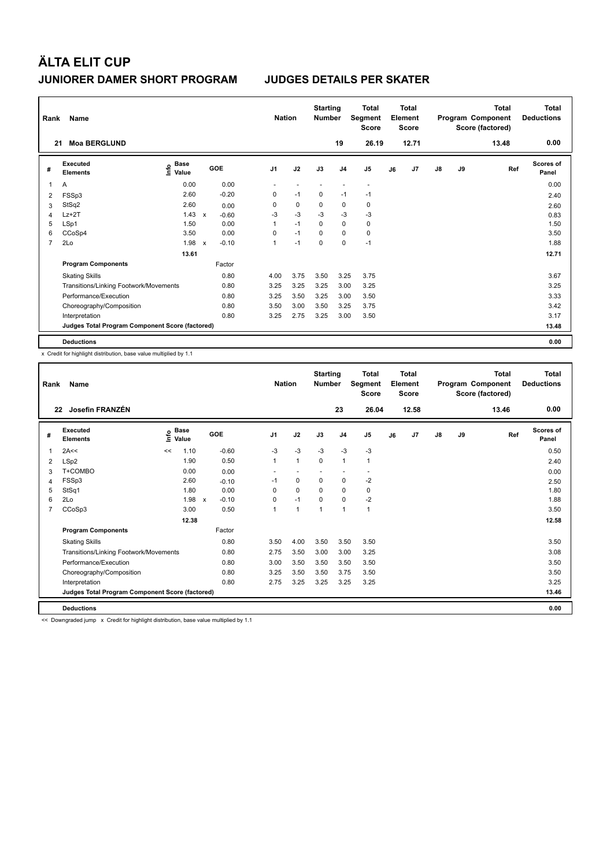| Rank           | Name                                            |                                  |                           |         | <b>Nation</b>  |      | <b>Starting</b><br><b>Number</b> |                | <b>Total</b><br>Segment<br><b>Score</b> |    | <b>Total</b><br>Element<br><b>Score</b> |               |    | Total<br>Program Component<br>Score (factored) | Total<br><b>Deductions</b> |
|----------------|-------------------------------------------------|----------------------------------|---------------------------|---------|----------------|------|----------------------------------|----------------|-----------------------------------------|----|-----------------------------------------|---------------|----|------------------------------------------------|----------------------------|
| 21             | <b>Moa BERGLUND</b>                             |                                  |                           |         |                |      |                                  | 19             | 26.19                                   |    | 12.71                                   |               |    | 13.48                                          | 0.00                       |
| #              | Executed<br><b>Elements</b>                     | <b>Base</b><br>e Base<br>⊆ Value |                           | GOE     | J <sub>1</sub> | J2   | J3                               | J <sub>4</sub> | J <sub>5</sub>                          | J6 | J <sub>7</sub>                          | $\mathsf{J}8$ | J9 | Ref                                            | Scores of<br>Panel         |
| 1              | Α                                               | 0.00                             |                           | 0.00    |                |      |                                  |                | $\overline{\phantom{a}}$                |    |                                         |               |    |                                                | 0.00                       |
| 2              | FSSp3                                           | 2.60                             |                           | $-0.20$ | 0              | $-1$ | 0                                | $-1$           | $-1$                                    |    |                                         |               |    |                                                | 2.40                       |
| 3              | StSq2                                           | 2.60                             |                           | 0.00    | 0              | 0    | 0                                | 0              | 0                                       |    |                                         |               |    |                                                | 2.60                       |
| 4              | $Lz+2T$                                         | 1.43                             | $\boldsymbol{\mathsf{x}}$ | $-0.60$ | $-3$           | $-3$ | $-3$                             | $-3$           | $-3$                                    |    |                                         |               |    |                                                | 0.83                       |
| 5              | LSp1                                            | 1.50                             |                           | 0.00    | 1              | $-1$ | $\Omega$                         | $\mathbf 0$    | $\mathbf 0$                             |    |                                         |               |    |                                                | 1.50                       |
| 6              | CCoSp4                                          | 3.50                             |                           | 0.00    | 0              | $-1$ | 0                                | $\mathbf 0$    | $\mathbf 0$                             |    |                                         |               |    |                                                | 3.50                       |
| $\overline{7}$ | 2Lo                                             | 1.98                             | $\mathsf{x}$              | $-0.10$ | 1              | $-1$ | $\mathbf 0$                      | $\mathbf 0$    | $-1$                                    |    |                                         |               |    |                                                | 1.88                       |
|                |                                                 | 13.61                            |                           |         |                |      |                                  |                |                                         |    |                                         |               |    |                                                | 12.71                      |
|                | <b>Program Components</b>                       |                                  |                           | Factor  |                |      |                                  |                |                                         |    |                                         |               |    |                                                |                            |
|                | <b>Skating Skills</b>                           |                                  |                           | 0.80    | 4.00           | 3.75 | 3.50                             | 3.25           | 3.75                                    |    |                                         |               |    |                                                | 3.67                       |
|                | Transitions/Linking Footwork/Movements          |                                  |                           | 0.80    | 3.25           | 3.25 | 3.25                             | 3.00           | 3.25                                    |    |                                         |               |    |                                                | 3.25                       |
|                | Performance/Execution                           |                                  |                           | 0.80    | 3.25           | 3.50 | 3.25                             | 3.00           | 3.50                                    |    |                                         |               |    |                                                | 3.33                       |
|                | Choreography/Composition                        |                                  |                           | 0.80    | 3.50           | 3.00 | 3.50                             | 3.25           | 3.75                                    |    |                                         |               |    |                                                | 3.42                       |
|                | Interpretation                                  |                                  |                           | 0.80    | 3.25           | 2.75 | 3.25                             | 3.00           | 3.50                                    |    |                                         |               |    |                                                | 3.17                       |
|                | Judges Total Program Component Score (factored) |                                  |                           |         |                |      |                                  |                |                                         |    |                                         |               |    |                                                | 13.48                      |
|                | <b>Deductions</b>                               |                                  |                           |         |                |      |                                  |                |                                         |    |                                         |               |    |                                                | 0.00                       |

x Credit for highlight distribution, base value multiplied by 1.1

| Rank           | Name                                            |                    |       |              |         |                | <b>Nation</b> |              | <b>Starting</b><br><b>Number</b> |                | <b>Total</b><br>Segment<br><b>Score</b> |    | Total<br>Element<br><b>Score</b> |               |    | Total<br>Program Component<br>Score (factored) | <b>Total</b><br><b>Deductions</b> |
|----------------|-------------------------------------------------|--------------------|-------|--------------|---------|----------------|---------------|--------------|----------------------------------|----------------|-----------------------------------------|----|----------------------------------|---------------|----|------------------------------------------------|-----------------------------------|
|                | Josefin FRANZÉN<br>22                           |                    |       |              |         |                |               |              |                                  | 23             | 26.04                                   |    | 12.58                            |               |    | 13.46                                          | 0.00                              |
| #              | Executed<br><b>Elements</b>                     | $\frac{e}{E}$ Base |       |              | GOE     | J <sub>1</sub> |               | J2           | J3                               | J <sub>4</sub> | J <sub>5</sub>                          | J6 | J <sub>7</sub>                   | $\mathsf{J}8$ | J9 | Ref                                            | <b>Scores of</b><br>Panel         |
| 1              | 2A<<                                            | <<                 | 1.10  |              | $-0.60$ | $-3$           |               | $-3$         | $-3$                             | $-3$           | $-3$                                    |    |                                  |               |    |                                                | 0.50                              |
| $\overline{2}$ | LSp2                                            |                    | 1.90  |              | 0.50    | $\mathbf{1}$   |               | $\mathbf{1}$ | $\Omega$                         | $\mathbf{1}$   | 1                                       |    |                                  |               |    |                                                | 2.40                              |
| 3              | T+COMBO                                         |                    | 0.00  |              | 0.00    |                |               |              |                                  |                |                                         |    |                                  |               |    |                                                | 0.00                              |
| 4              | FSSp3                                           |                    | 2.60  |              | $-0.10$ | $-1$           |               | 0            | $\Omega$                         | 0              | $-2$                                    |    |                                  |               |    |                                                | 2.50                              |
| 5              | StSq1                                           |                    | 1.80  |              | 0.00    | $\Omega$       |               | $\Omega$     | $\Omega$                         | $\Omega$       | 0                                       |    |                                  |               |    |                                                | 1.80                              |
| 6              | 2Lo                                             |                    | 1.98  | $\mathsf{x}$ | $-0.10$ | 0              |               | $-1$         | $\Omega$                         | $\mathbf 0$    | $-2$                                    |    |                                  |               |    |                                                | 1.88                              |
| 7              | CCoSp3                                          |                    | 3.00  |              | 0.50    | 1              |               | $\mathbf{1}$ | 1                                | $\mathbf{1}$   | $\mathbf{1}$                            |    |                                  |               |    |                                                | 3.50                              |
|                |                                                 |                    | 12.38 |              |         |                |               |              |                                  |                |                                         |    |                                  |               |    |                                                | 12.58                             |
|                | <b>Program Components</b>                       |                    |       |              | Factor  |                |               |              |                                  |                |                                         |    |                                  |               |    |                                                |                                   |
|                | <b>Skating Skills</b>                           |                    |       |              | 0.80    | 3.50           |               | 4.00         | 3.50                             | 3.50           | 3.50                                    |    |                                  |               |    |                                                | 3.50                              |
|                | Transitions/Linking Footwork/Movements          |                    |       |              | 0.80    | 2.75           |               | 3.50         | 3.00                             | 3.00           | 3.25                                    |    |                                  |               |    |                                                | 3.08                              |
|                | Performance/Execution                           |                    |       |              | 0.80    | 3.00           |               | 3.50         | 3.50                             | 3.50           | 3.50                                    |    |                                  |               |    |                                                | 3.50                              |
|                | Choreography/Composition                        |                    |       |              | 0.80    | 3.25           |               | 3.50         | 3.50                             | 3.75           | 3.50                                    |    |                                  |               |    |                                                | 3.50                              |
|                | Interpretation                                  |                    |       |              | 0.80    | 2.75           |               | 3.25         | 3.25                             | 3.25           | 3.25                                    |    |                                  |               |    |                                                | 3.25                              |
|                | Judges Total Program Component Score (factored) |                    |       |              |         |                |               |              |                                  |                |                                         |    |                                  |               |    |                                                | 13.46                             |
|                | <b>Deductions</b>                               |                    |       |              |         |                |               |              |                                  |                |                                         |    |                                  |               |    |                                                | 0.00                              |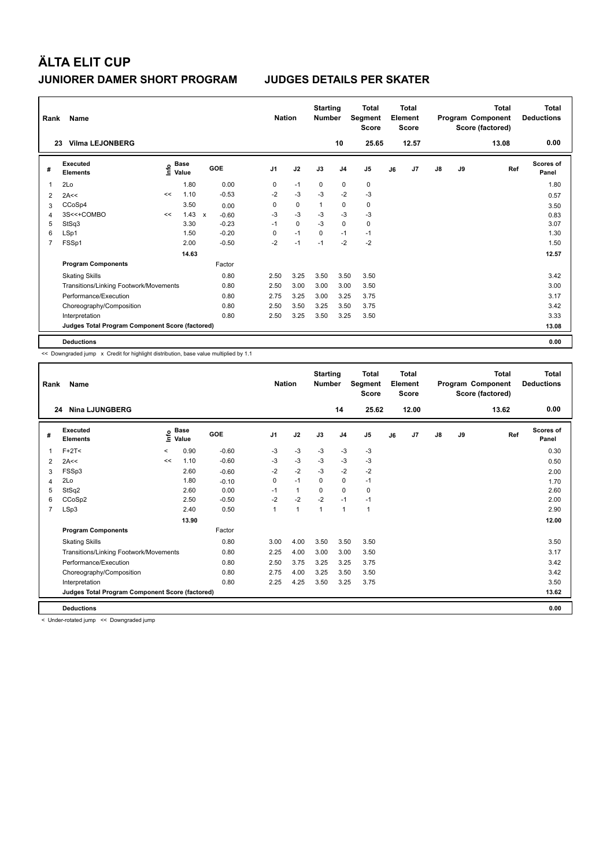| Rank           | Name                                            |    |                                  |              |         |                | <b>Nation</b> | <b>Starting</b><br><b>Number</b> |                | <b>Total</b><br>Segment<br><b>Score</b> |    | <b>Total</b><br>Element<br><b>Score</b> |               |    | Total<br>Program Component<br>Score (factored) | Total<br><b>Deductions</b> |
|----------------|-------------------------------------------------|----|----------------------------------|--------------|---------|----------------|---------------|----------------------------------|----------------|-----------------------------------------|----|-----------------------------------------|---------------|----|------------------------------------------------|----------------------------|
|                | <b>Vilma LEJONBERG</b><br>23                    |    |                                  |              |         |                |               |                                  | 10             | 25.65                                   |    | 12.57                                   |               |    | 13.08                                          | 0.00                       |
| #              | Executed<br><b>Elements</b>                     |    | <b>Base</b><br>e Base<br>⊆ Value |              | GOE     | J <sub>1</sub> | J2            | J3                               | J <sub>4</sub> | J <sub>5</sub>                          | J6 | J <sub>7</sub>                          | $\mathsf{J}8$ | J9 | Ref                                            | Scores of<br>Panel         |
| 1              | 2Lo                                             |    | 1.80                             |              | 0.00    | 0              | $-1$          | 0                                | 0              | 0                                       |    |                                         |               |    |                                                | 1.80                       |
| 2              | 2A<<                                            | << | 1.10                             |              | $-0.53$ | $-2$           | $-3$          | $-3$                             | $-2$           | $-3$                                    |    |                                         |               |    |                                                | 0.57                       |
| 3              | CCoSp4                                          |    | 3.50                             |              | 0.00    | 0              | $\mathbf 0$   | $\overline{1}$                   | 0              | 0                                       |    |                                         |               |    |                                                | 3.50                       |
| 4              | 3S<<+COMBO                                      | << | 1.43                             | $\mathbf{x}$ | $-0.60$ | $-3$           | $-3$          | $-3$                             | $-3$           | $-3$                                    |    |                                         |               |    |                                                | 0.83                       |
| 5              | StSq3                                           |    | 3.30                             |              | $-0.23$ | $-1$           | $\Omega$      | $-3$                             | $\mathbf 0$    | $\mathbf 0$                             |    |                                         |               |    |                                                | 3.07                       |
| 6              | LSp1                                            |    | 1.50                             |              | $-0.20$ | 0              | $-1$          | $\mathbf 0$                      | $-1$           | $-1$                                    |    |                                         |               |    |                                                | 1.30                       |
| $\overline{7}$ | FSSp1                                           |    | 2.00                             |              | $-0.50$ | $-2$           | $-1$          | $-1$                             | $-2$           | $-2$                                    |    |                                         |               |    |                                                | 1.50                       |
|                |                                                 |    | 14.63                            |              |         |                |               |                                  |                |                                         |    |                                         |               |    |                                                | 12.57                      |
|                | <b>Program Components</b>                       |    |                                  |              | Factor  |                |               |                                  |                |                                         |    |                                         |               |    |                                                |                            |
|                | <b>Skating Skills</b>                           |    |                                  |              | 0.80    | 2.50           | 3.25          | 3.50                             | 3.50           | 3.50                                    |    |                                         |               |    |                                                | 3.42                       |
|                | Transitions/Linking Footwork/Movements          |    |                                  |              | 0.80    | 2.50           | 3.00          | 3.00                             | 3.00           | 3.50                                    |    |                                         |               |    |                                                | 3.00                       |
|                | Performance/Execution                           |    |                                  |              | 0.80    | 2.75           | 3.25          | 3.00                             | 3.25           | 3.75                                    |    |                                         |               |    |                                                | 3.17                       |
|                | Choreography/Composition                        |    |                                  |              | 0.80    | 2.50           | 3.50          | 3.25                             | 3.50           | 3.75                                    |    |                                         |               |    |                                                | 3.42                       |
|                | Interpretation                                  |    |                                  |              | 0.80    | 2.50           | 3.25          | 3.50                             | 3.25           | 3.50                                    |    |                                         |               |    |                                                | 3.33                       |
|                | Judges Total Program Component Score (factored) |    |                                  |              |         |                |               |                                  |                |                                         |    |                                         |               |    |                                                | 13.08                      |
|                | <b>Deductions</b>                               |    |                                  |              |         |                |               |                                  |                |                                         |    |                                         |               |    |                                                | 0.00                       |

<< Downgraded jump x Credit for highlight distribution, base value multiplied by 1.1

| Rank           | Name                                            |         |                      |         | <b>Nation</b> |              | <b>Starting</b><br><b>Number</b> |                | <b>Total</b><br>Segment<br><b>Score</b> |    | Total<br>Element<br><b>Score</b> |    |    | Total<br>Program Component<br>Score (factored) | <b>Total</b><br><b>Deductions</b> |
|----------------|-------------------------------------------------|---------|----------------------|---------|---------------|--------------|----------------------------------|----------------|-----------------------------------------|----|----------------------------------|----|----|------------------------------------------------|-----------------------------------|
|                | <b>Nina LJUNGBERG</b><br>24                     |         |                      |         |               |              |                                  | 14             | 25.62                                   |    | 12.00                            |    |    | 13.62                                          | 0.00                              |
| #              | Executed<br><b>Elements</b>                     | ۴ů      | <b>Base</b><br>Value | GOE     | J1            | J2           | J3                               | J <sub>4</sub> | J5                                      | J6 | J7                               | J8 | J9 | Ref                                            | Scores of<br>Panel                |
| 1              | $F+2T<$                                         | $\,<\,$ | 0.90                 | $-0.60$ | $-3$          | $-3$         | $-3$                             | $-3$           | $-3$                                    |    |                                  |    |    |                                                | 0.30                              |
| $\overline{2}$ | 2A<<                                            | <<      | 1.10                 | $-0.60$ | $-3$          | $-3$         | $-3$                             | $-3$           | $-3$                                    |    |                                  |    |    |                                                | 0.50                              |
| 3              | FSSp3                                           |         | 2.60                 | $-0.60$ | $-2$          | $-2$         | $-3$                             | $-2$           | $-2$                                    |    |                                  |    |    |                                                | 2.00                              |
| 4              | 2Lo                                             |         | 1.80                 | $-0.10$ | 0             | $-1$         | 0                                | 0              | $-1$                                    |    |                                  |    |    |                                                | 1.70                              |
| 5              | StSq2                                           |         | 2.60                 | 0.00    | $-1$          | $\mathbf{1}$ | $\Omega$                         | 0              | 0                                       |    |                                  |    |    |                                                | 2.60                              |
| 6              | CCoSp2                                          |         | 2.50                 | $-0.50$ | $-2$          | $-2$         | $-2$                             | $-1$           | $-1$                                    |    |                                  |    |    |                                                | 2.00                              |
| 7              | LSp3                                            |         | 2.40                 | 0.50    | 1             | 1            | 1                                | $\mathbf{1}$   | 1                                       |    |                                  |    |    |                                                | 2.90                              |
|                |                                                 |         | 13.90                |         |               |              |                                  |                |                                         |    |                                  |    |    |                                                | 12.00                             |
|                | <b>Program Components</b>                       |         |                      | Factor  |               |              |                                  |                |                                         |    |                                  |    |    |                                                |                                   |
|                | <b>Skating Skills</b>                           |         |                      | 0.80    | 3.00          | 4.00         | 3.50                             | 3.50           | 3.50                                    |    |                                  |    |    |                                                | 3.50                              |
|                | Transitions/Linking Footwork/Movements          |         |                      | 0.80    | 2.25          | 4.00         | 3.00                             | 3.00           | 3.50                                    |    |                                  |    |    |                                                | 3.17                              |
|                | Performance/Execution                           |         |                      | 0.80    | 2.50          | 3.75         | 3.25                             | 3.25           | 3.75                                    |    |                                  |    |    |                                                | 3.42                              |
|                | Choreography/Composition                        |         |                      | 0.80    | 2.75          | 4.00         | 3.25                             | 3.50           | 3.50                                    |    |                                  |    |    |                                                | 3.42                              |
|                | Interpretation                                  |         |                      | 0.80    | 2.25          | 4.25         | 3.50                             | 3.25           | 3.75                                    |    |                                  |    |    |                                                | 3.50                              |
|                | Judges Total Program Component Score (factored) |         |                      |         |               |              |                                  |                |                                         |    |                                  |    |    |                                                | 13.62                             |
|                | <b>Deductions</b>                               |         |                      |         |               |              |                                  |                |                                         |    |                                  |    |    |                                                | 0.00                              |

< Under-rotated jump << Downgraded jump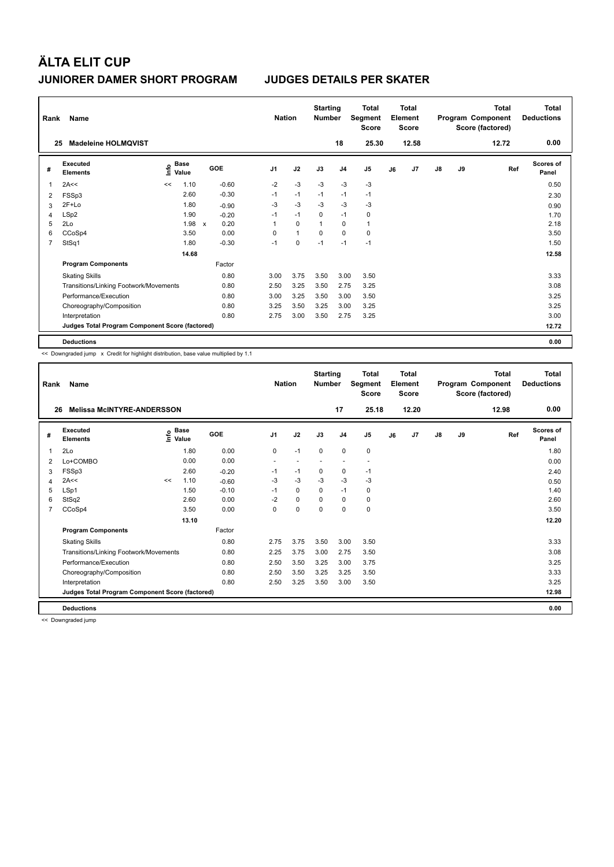| Rank           | Name                                            |      |               |              |         | <b>Nation</b>  |              | <b>Starting</b><br><b>Number</b> |                | <b>Total</b><br>Segment<br><b>Score</b> |    | <b>Total</b><br>Element<br><b>Score</b> |               |    | Total<br>Program Component<br>Score (factored) | Total<br><b>Deductions</b> |
|----------------|-------------------------------------------------|------|---------------|--------------|---------|----------------|--------------|----------------------------------|----------------|-----------------------------------------|----|-----------------------------------------|---------------|----|------------------------------------------------|----------------------------|
| 25             | <b>Madeleine HOLMOVIST</b>                      |      |               |              |         |                |              |                                  | 18             | 25.30                                   |    | 12.58                                   |               |    | 12.72                                          | 0.00                       |
| #              | Executed<br><b>Elements</b>                     | lnfo | Base<br>Value |              | GOE     | J <sub>1</sub> | J2           | J3                               | J <sub>4</sub> | J <sub>5</sub>                          | J6 | J <sub>7</sub>                          | $\mathsf{J}8$ | J9 | Ref                                            | Scores of<br>Panel         |
| 1              | 2A<<                                            | <<   | 1.10          |              | $-0.60$ | $-2$           | $-3$         | $-3$                             | $-3$           | -3                                      |    |                                         |               |    |                                                | 0.50                       |
| 2              | FSSp3                                           |      | 2.60          |              | $-0.30$ | $-1$           | $-1$         | $-1$                             | $-1$           | $-1$                                    |    |                                         |               |    |                                                | 2.30                       |
| 3              | $2F+Lo$                                         |      | 1.80          |              | $-0.90$ | -3             | $-3$         | -3                               | -3             | $-3$                                    |    |                                         |               |    |                                                | 0.90                       |
| 4              | LSp2                                            |      | 1.90          |              | $-0.20$ | $-1$           | $-1$         | 0                                | $-1$           | 0                                       |    |                                         |               |    |                                                | 1.70                       |
| 5              | 2Lo                                             |      | 1.98          | $\mathsf{x}$ | 0.20    | 1              | $\mathbf 0$  | $\overline{1}$                   | $\mathbf 0$    | $\mathbf{1}$                            |    |                                         |               |    |                                                | 2.18                       |
| 6              | CCoSp4                                          |      | 3.50          |              | 0.00    | 0              | $\mathbf{1}$ | 0                                | $\mathbf 0$    | $\mathbf 0$                             |    |                                         |               |    |                                                | 3.50                       |
| $\overline{7}$ | StSq1                                           |      | 1.80          |              | $-0.30$ | $-1$           | $\mathbf 0$  | $-1$                             | $-1$           | $-1$                                    |    |                                         |               |    |                                                | 1.50                       |
|                |                                                 |      | 14.68         |              |         |                |              |                                  |                |                                         |    |                                         |               |    |                                                | 12.58                      |
|                | <b>Program Components</b>                       |      |               |              | Factor  |                |              |                                  |                |                                         |    |                                         |               |    |                                                |                            |
|                | <b>Skating Skills</b>                           |      |               |              | 0.80    | 3.00           | 3.75         | 3.50                             | 3.00           | 3.50                                    |    |                                         |               |    |                                                | 3.33                       |
|                | Transitions/Linking Footwork/Movements          |      |               |              | 0.80    | 2.50           | 3.25         | 3.50                             | 2.75           | 3.25                                    |    |                                         |               |    |                                                | 3.08                       |
|                | Performance/Execution                           |      |               |              | 0.80    | 3.00           | 3.25         | 3.50                             | 3.00           | 3.50                                    |    |                                         |               |    |                                                | 3.25                       |
|                | Choreography/Composition                        |      |               |              | 0.80    | 3.25           | 3.50         | 3.25                             | 3.00           | 3.25                                    |    |                                         |               |    |                                                | 3.25                       |
|                | Interpretation                                  |      |               |              | 0.80    | 2.75           | 3.00         | 3.50                             | 2.75           | 3.25                                    |    |                                         |               |    |                                                | 3.00                       |
|                | Judges Total Program Component Score (factored) |      |               |              |         |                |              |                                  |                |                                         |    |                                         |               |    |                                                | 12.72                      |
|                | <b>Deductions</b>                               |      |               |              |         |                |              |                                  |                |                                         |    |                                         |               |    |                                                | 0.00                       |

<< Downgraded jump x Credit for highlight distribution, base value multiplied by 1.1

| Rank | Name                                            |    | <b>Nation</b>                             |         | <b>Starting</b><br><b>Number</b> | <b>Total</b><br>Segment<br><b>Score</b> | <b>Total</b><br>Element<br><b>Score</b> |                |                          |    | <b>Total</b><br>Program Component<br>Score (factored) | <b>Total</b><br><b>Deductions</b> |    |       |                           |
|------|-------------------------------------------------|----|-------------------------------------------|---------|----------------------------------|-----------------------------------------|-----------------------------------------|----------------|--------------------------|----|-------------------------------------------------------|-----------------------------------|----|-------|---------------------------|
| 26   | <b>Melissa McINTYRE-ANDERSSON</b>               |    |                                           |         |                                  |                                         |                                         | 17             | 25.18                    |    | 12.20                                                 |                                   |    | 12.98 | 0.00                      |
| #    | Executed<br><b>Elements</b>                     |    | $\frac{e}{E}$ Base<br>$\frac{e}{E}$ Value | GOE     | J1                               | J2                                      | J3                                      | J <sub>4</sub> | J <sub>5</sub>           | J6 | J <sub>7</sub>                                        | $\mathsf{J}8$                     | J9 | Ref   | <b>Scores of</b><br>Panel |
| 1    | 2Lo                                             |    | 1.80                                      | 0.00    | 0                                | $-1$                                    | 0                                       | 0              | 0                        |    |                                                       |                                   |    |       | 1.80                      |
| 2    | Lo+COMBO                                        |    | 0.00                                      | 0.00    | $\overline{\phantom{a}}$         |                                         |                                         |                | $\overline{\phantom{a}}$ |    |                                                       |                                   |    |       | 0.00                      |
| 3    | FSSp3                                           |    | 2.60                                      | $-0.20$ | $-1$                             | $-1$                                    | 0                                       | $\mathbf 0$    | $-1$                     |    |                                                       |                                   |    |       | 2.40                      |
| 4    | 2A<<                                            | << | 1.10                                      | $-0.60$ | $-3$                             | $-3$                                    | $-3$                                    | $-3$           | $-3$                     |    |                                                       |                                   |    |       | 0.50                      |
| 5    | LSp1                                            |    | 1.50                                      | $-0.10$ | $-1$                             | $\mathbf 0$                             | 0                                       | $-1$           | 0                        |    |                                                       |                                   |    |       | 1.40                      |
| 6    | StSq2                                           |    | 2.60                                      | 0.00    | $-2$                             | 0                                       | $\Omega$                                | 0              | 0                        |    |                                                       |                                   |    |       | 2.60                      |
| 7    | CCoSp4                                          |    | 3.50                                      | 0.00    | $\Omega$                         | $\Omega$                                | $\Omega$                                | $\Omega$       | 0                        |    |                                                       |                                   |    |       | 3.50                      |
|      |                                                 |    | 13.10                                     |         |                                  |                                         |                                         |                |                          |    |                                                       |                                   |    |       | 12.20                     |
|      | <b>Program Components</b>                       |    |                                           | Factor  |                                  |                                         |                                         |                |                          |    |                                                       |                                   |    |       |                           |
|      | <b>Skating Skills</b>                           |    |                                           | 0.80    | 2.75                             | 3.75                                    | 3.50                                    | 3.00           | 3.50                     |    |                                                       |                                   |    |       | 3.33                      |
|      | Transitions/Linking Footwork/Movements          |    |                                           | 0.80    | 2.25                             | 3.75                                    | 3.00                                    | 2.75           | 3.50                     |    |                                                       |                                   |    |       | 3.08                      |
|      | Performance/Execution                           |    |                                           | 0.80    | 2.50                             | 3.50                                    | 3.25                                    | 3.00           | 3.75                     |    |                                                       |                                   |    |       | 3.25                      |
|      | Choreography/Composition                        |    |                                           | 0.80    | 2.50                             | 3.50                                    | 3.25                                    | 3.25           | 3.50                     |    |                                                       |                                   |    |       | 3.33                      |
|      | Interpretation                                  |    |                                           | 0.80    | 2.50                             | 3.25                                    | 3.50                                    | 3.00           | 3.50                     |    |                                                       |                                   |    |       | 3.25                      |
|      | Judges Total Program Component Score (factored) |    |                                           |         |                                  |                                         |                                         |                |                          |    |                                                       |                                   |    |       | 12.98                     |
|      | <b>Deductions</b>                               |    |                                           |         |                                  |                                         |                                         |                |                          |    |                                                       |                                   |    |       | 0.00                      |

<< Downgraded jump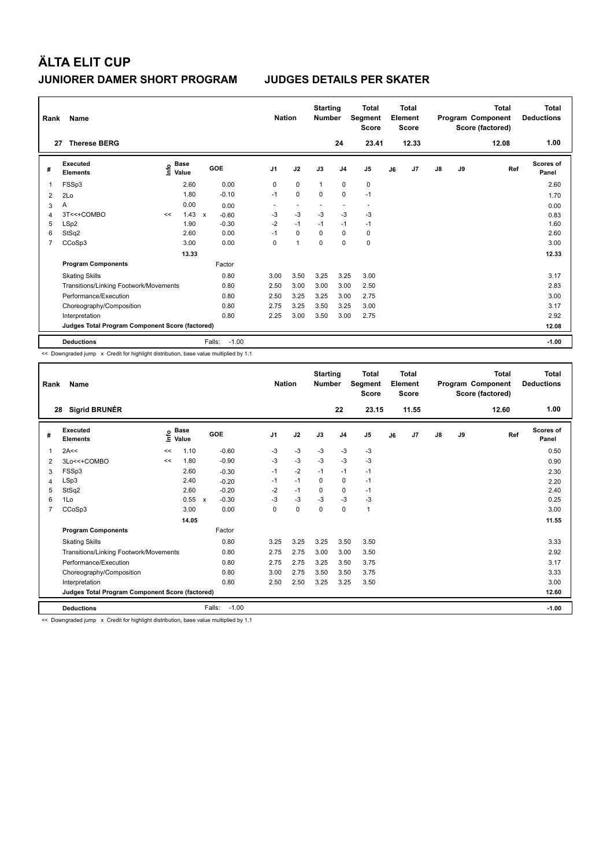| Rank | Name                                            |    | <b>Nation</b>                               |              | <b>Starting</b><br><b>Number</b> | Total<br>Segment<br><b>Score</b> | Total<br>Element<br><b>Score</b> |              |                |                          | <b>Total</b><br>Program Component<br>Score (factored) | Total<br><b>Deductions</b> |               |    |       |                           |
|------|-------------------------------------------------|----|---------------------------------------------|--------------|----------------------------------|----------------------------------|----------------------------------|--------------|----------------|--------------------------|-------------------------------------------------------|----------------------------|---------------|----|-------|---------------------------|
| 27   | <b>Therese BERG</b>                             |    |                                             |              |                                  |                                  |                                  |              | 24             | 23.41                    |                                                       | 12.33                      |               |    | 12.08 | 1.00                      |
| #    | Executed<br><b>Elements</b>                     |    | <b>Base</b><br>e <sup>Base</sup><br>⊆ Value |              | GOE                              | J <sub>1</sub>                   | J2                               | J3           | J <sub>4</sub> | J <sub>5</sub>           | J6                                                    | J7                         | $\mathsf{J}8$ | J9 | Ref   | <b>Scores of</b><br>Panel |
| 1    | FSSp3                                           |    | 2.60                                        |              | 0.00                             | 0                                | $\mathbf 0$                      | $\mathbf{1}$ | $\mathbf 0$    | $\mathbf 0$              |                                                       |                            |               |    |       | 2.60                      |
| 2    | 2Lo                                             |    | 1.80                                        |              | $-0.10$                          | $-1$                             | $\mathbf 0$                      | $\mathbf 0$  | $\mathbf 0$    | $-1$                     |                                                       |                            |               |    |       | 1.70                      |
| 3    | Α                                               |    | 0.00                                        |              | 0.00                             | ٠                                | $\overline{a}$                   |              | ٠              | $\overline{\phantom{a}}$ |                                                       |                            |               |    |       | 0.00                      |
| 4    | 3T<<+COMBO                                      | << | 1.43                                        | $\mathsf{x}$ | $-0.60$                          | $-3$                             | $-3$                             | $-3$         | $-3$           | $-3$                     |                                                       |                            |               |    |       | 0.83                      |
| 5    | LSp2                                            |    | 1.90                                        |              | $-0.30$                          | $-2$                             | $-1$                             | $-1$         | $-1$           | $-1$                     |                                                       |                            |               |    |       | 1.60                      |
| 6    | StSq2                                           |    | 2.60                                        |              | 0.00                             | $-1$                             | $\mathbf 0$                      | 0            | $\mathbf 0$    | 0                        |                                                       |                            |               |    |       | 2.60                      |
| 7    | CCoSp3                                          |    | 3.00                                        |              | 0.00                             | 0                                | $\overline{1}$                   | $\mathbf 0$  | $\mathbf 0$    | $\mathbf 0$              |                                                       |                            |               |    |       | 3.00                      |
|      |                                                 |    | 13.33                                       |              |                                  |                                  |                                  |              |                |                          |                                                       |                            |               |    |       | 12.33                     |
|      | <b>Program Components</b>                       |    |                                             |              | Factor                           |                                  |                                  |              |                |                          |                                                       |                            |               |    |       |                           |
|      | <b>Skating Skills</b>                           |    |                                             |              | 0.80                             | 3.00                             | 3.50                             | 3.25         | 3.25           | 3.00                     |                                                       |                            |               |    |       | 3.17                      |
|      | Transitions/Linking Footwork/Movements          |    |                                             |              | 0.80                             | 2.50                             | 3.00                             | 3.00         | 3.00           | 2.50                     |                                                       |                            |               |    |       | 2.83                      |
|      | Performance/Execution                           |    |                                             |              | 0.80                             | 2.50                             | 3.25                             | 3.25         | 3.00           | 2.75                     |                                                       |                            |               |    |       | 3.00                      |
|      | Choreography/Composition                        |    |                                             |              | 0.80                             | 2.75                             | 3.25                             | 3.50         | 3.25           | 3.00                     |                                                       |                            |               |    |       | 3.17                      |
|      | Interpretation                                  |    |                                             |              | 0.80                             | 2.25                             | 3.00                             | 3.50         | 3.00           | 2.75                     |                                                       |                            |               |    |       | 2.92                      |
|      | Judges Total Program Component Score (factored) |    |                                             |              |                                  |                                  |                                  |              |                |                          |                                                       |                            |               |    |       | 12.08                     |
|      | <b>Deductions</b>                               |    |                                             | Falls:       | $-1.00$                          |                                  |                                  |              |                |                          |                                                       |                            |               |    |       | $-1.00$                   |

<< Downgraded jump x Credit for highlight distribution, base value multiplied by 1.1

| Rank           | Name                                            |                              | <b>Nation</b> |                                      | <b>Starting</b><br><b>Number</b> | <b>Total</b><br>Segment<br><b>Score</b> | Total<br>Element<br><b>Score</b> |                |              |    | <b>Total</b><br>Program Component<br>Score (factored) | <b>Total</b><br><b>Deductions</b> |    |       |                           |
|----------------|-------------------------------------------------|------------------------------|---------------|--------------------------------------|----------------------------------|-----------------------------------------|----------------------------------|----------------|--------------|----|-------------------------------------------------------|-----------------------------------|----|-------|---------------------------|
| 28             | <b>Sigrid BRUNÉR</b>                            |                              |               |                                      |                                  |                                         |                                  | 22             | 23.15        |    | 11.55                                                 |                                   |    | 12.60 | 1.00                      |
| #              | Executed<br><b>Elements</b>                     | <b>Base</b><br>Info<br>Value |               | <b>GOE</b>                           | J <sub>1</sub>                   | J2                                      | J3                               | J <sub>4</sub> | J5           | J6 | J7                                                    | $\mathsf{J}8$                     | J9 | Ref   | <b>Scores of</b><br>Panel |
| 1              | 2A<<                                            | <<                           | 1.10          | $-0.60$                              | -3                               | $-3$                                    | $-3$                             | $-3$           | $-3$         |    |                                                       |                                   |    |       | 0.50                      |
| 2              | 3Lo<<+COMBO                                     | <<                           | 1.80          | $-0.90$                              | -3                               | $-3$                                    | $-3$                             | $-3$           | $-3$         |    |                                                       |                                   |    |       | 0.90                      |
| 3              | FSSp3                                           |                              | 2.60          | $-0.30$                              | $-1$                             | $-2$                                    | $-1$                             | $-1$           | $-1$         |    |                                                       |                                   |    |       | 2.30                      |
| 4              | LSp3                                            |                              | 2.40          | $-0.20$                              | $-1$                             | $-1$                                    | $\Omega$                         | $\mathbf 0$    | $-1$         |    |                                                       |                                   |    |       | 2.20                      |
| 5              | StSq2                                           |                              | 2.60          | $-0.20$                              | $-2$                             | $-1$                                    | $\Omega$                         | 0              | $-1$         |    |                                                       |                                   |    |       | 2.40                      |
| 6              | 1Lo                                             |                              | 0.55          | $-0.30$<br>$\boldsymbol{\mathsf{x}}$ | -3                               | $-3$                                    | $-3$                             | $-3$           | $-3$         |    |                                                       |                                   |    |       | 0.25                      |
| $\overline{7}$ | CCoSp3                                          |                              | 3.00          | 0.00                                 | $\Omega$                         | $\mathbf 0$                             | $\Omega$                         | $\mathbf 0$    | $\mathbf{1}$ |    |                                                       |                                   |    |       | 3.00                      |
|                |                                                 |                              | 14.05         |                                      |                                  |                                         |                                  |                |              |    |                                                       |                                   |    |       | 11.55                     |
|                | <b>Program Components</b>                       |                              |               | Factor                               |                                  |                                         |                                  |                |              |    |                                                       |                                   |    |       |                           |
|                | <b>Skating Skills</b>                           |                              |               | 0.80                                 | 3.25                             | 3.25                                    | 3.25                             | 3.50           | 3.50         |    |                                                       |                                   |    |       | 3.33                      |
|                | Transitions/Linking Footwork/Movements          |                              |               | 0.80                                 | 2.75                             | 2.75                                    | 3.00                             | 3.00           | 3.50         |    |                                                       |                                   |    |       | 2.92                      |
|                | Performance/Execution                           |                              |               | 0.80                                 | 2.75                             | 2.75                                    | 3.25                             | 3.50           | 3.75         |    |                                                       |                                   |    |       | 3.17                      |
|                | Choreography/Composition                        |                              |               | 0.80                                 | 3.00                             | 2.75                                    | 3.50                             | 3.50           | 3.75         |    |                                                       |                                   |    |       | 3.33                      |
|                | Interpretation                                  |                              |               | 0.80                                 | 2.50                             | 2.50                                    | 3.25                             | 3.25           | 3.50         |    |                                                       |                                   |    |       | 3.00                      |
|                | Judges Total Program Component Score (factored) |                              |               |                                      |                                  |                                         |                                  |                |              |    |                                                       |                                   |    |       | 12.60                     |
|                | <b>Deductions</b>                               |                              |               | $-1.00$<br>Falls:                    |                                  |                                         |                                  |                |              |    |                                                       |                                   |    |       | $-1.00$                   |